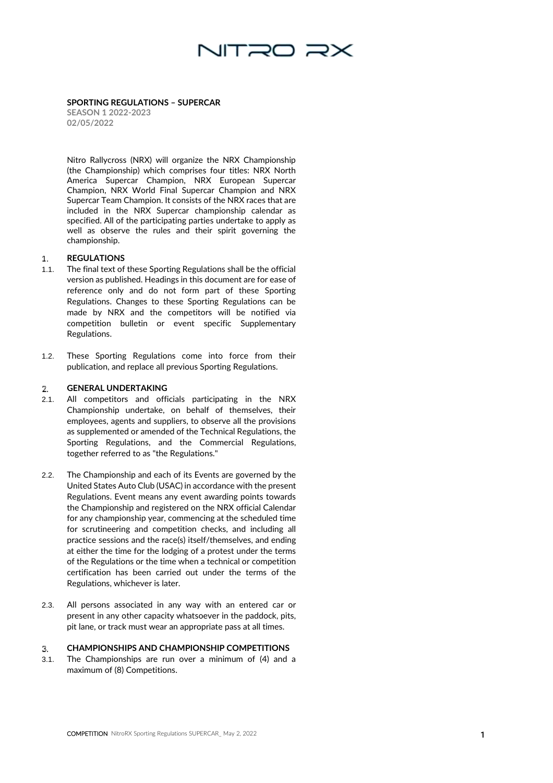

**SPORTING REGULATIONS – SUPERCAR SEASON 1 2022 -2023 02 / 0 5/2022**

Nitro Rallycross (NRX) will organize the NRX Championship (the Championship) which comprises four titles: NRX North America Supercar Champion, NRX European Supercar Champion, NRX World Final Supercar Champion and NRX Supercar Team Champion. It consists of the NRX races that are included in the NRX Supercar championship calendar as specified. All of the participating parties undertake to apply as well as observe the rules and their spirit governing the championship.

#### **REGULATIONS**  $\mathbf{1}$ .

- 1.1. The final text of these Sporting Regulations shall be the official version as published. Headings in this document are for ease of reference only and do not form part of these Sporting Regulations. Changes to these Sporting Regulations can be made by NRX and the competitors will be notified via competition bulletin or event specific Supplementary Regulations.
- 1.2. These Sporting Regulations come into force from their publication, and replace all previous Sporting Regulations.

#### **GENERAL UNDERTAKING** 2.

- 2.1. All competitors and officials participating in the NRX Championship undertake, on behalf of themselves, their employees, agents and suppliers, to observe all the provisions as supplemented or amended of the Technical Regulations, the Sporting Regulations, and the Commercial Regulations, together referred to as "the Regulations."
- 2.2. The Championship and each of its Events are governed by the United States Auto Club (USAC) in accordance with the present Regulations. Event means any event awarding points towards the Championship and registered on the NRX official Calendar for any championship year, commencing at the scheduled time for scrutineering and competition checks, and including all practice sessions and the race(s) itself/themselves, and ending at either the time for the lodging of a protest under the terms of the Regulations or the time when a technical or competition certification has been carried out under the terms of the Regulations, whichever is later.
- 2.3. All persons associated in any way with an entered car or present in any other capacity whatsoever in the paddock, pits, pit lane, or track must wear an appropriate pass at all times.

### $3.$ **CHAMPIONSHIPS AND CHAMPIONSHIP COMPETITIONS**

3.1. The Championships are run over a minimum of (4) and a maximum of (8) Competitions.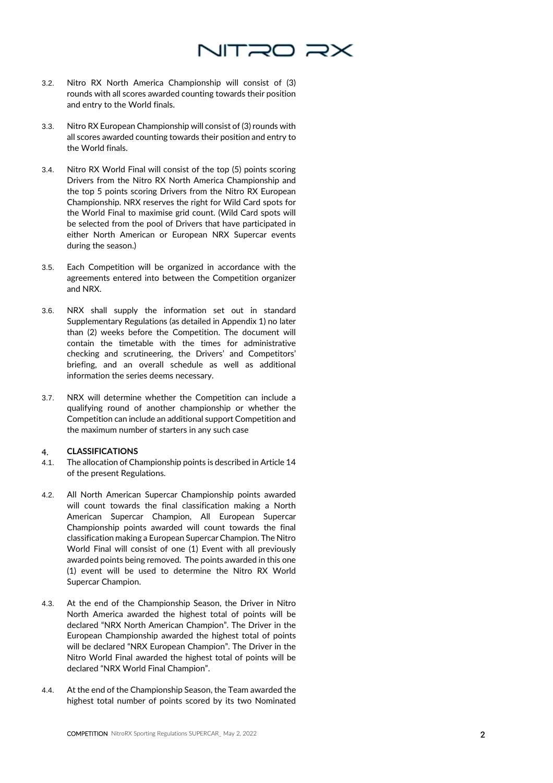

- 3.2. Nitro RX North America Championship will consist of (3) rounds with all scores awarded counting towards their position and entry to the World finals.
- 3.3. Nitro RX European Championship will consist of (3) rounds with all scores awarded counting towards their position and entry to the World finals.
- 3.4. Nitro RX World Final will consist of the top (5) points scoring Drivers from the Nitro RX North America Championship and the top 5 points scoring Drivers from the Nitro RX European Championship. NRX reserves the right for Wild Card spots for the World Final to maximise grid count. (Wild Card spots will be selected from the pool of Drivers that have participated in either North American or European NRX Supercar events during the season.)
- 3.5. Each Competition will be organized in accordance with the agreements entered into between the Competition organizer and NRX.
- 3.6. NRX shall supply the information set out in standard Supplementary Regulations (as detailed in Appendix 1) no later than (2) weeks before the Competition. The document will contain the timetable with the times for administrative checking and scrutineering, the Drivers' and Competitors' briefing, and an overall schedule as well as additional information the series deems necessary.
- 3.7. NRX will determine whether the Competition can include a qualifying round of another championship or whether the Competition can include an additional support Competition and the maximum number of starters in any such case

### **CLASSIFICATIONS**  $4.$

- 4.1. The allocation of Championship points is described in Article 14 of the present Regulations.
- 4.2. All North American Supercar Championship points awarded will count towards the final classification making a North American Supercar Champion, All European Supercar Championship points awarded will count towards the final classification making a European Supercar Champion. The Nitro World Final will consist of one (1) Event with all previously awarded points being removed. The points awarded in this one (1) event will be used to determine the Nitro RX World Supercar Champion.
- 4.3. At the end of the Championship Season, the Driver in Nitro North America awarded the highest total of points will be declared "NRX North American Champion". The Driver in the European Championship awarded the highest total of points will be declared "NRX European Champion". The Driver in the Nitro World Final awarded the highest total of points will be declared "NRX World Final Champion".
- 4.4. At the end of the Championship Season, the Team awarded the highest total number of points scored by its two Nominated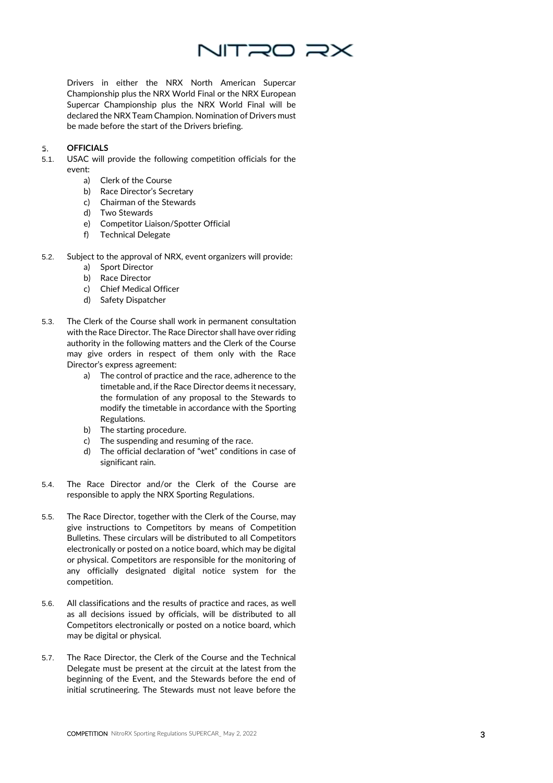

Drivers in either the NRX North American Supercar Championship plus the NRX World Final or the NRX European Supercar Championship plus the NRX World Final will be declared the NRX Team Champion. Nomination of Drivers must be made before the start of the Drivers briefing.

### **OFFICIALS** 5.

- 5.1. USAC will provide the following competition officials for the event:
	- a) Clerk of the Course
	- b) Race Director's Secretary
	- c) Chairman of the Stewards
	- d) Two Stewards
	- e) Competitor Liaison/Spotter Official
	- f) Technical Delegate
- 5.2. Subject to the approval of NRX, event organizers will provide:
	- a) Sport Director
	- b) Race Director
	- c) Chief Medical Officer
	- d) Safety Dispatcher
- 5.3. The Clerk of the Course shall work in permanent consultation with the Race Director. The Race Director shall have over riding authority in the following matters and the Clerk of the Course may give orders in respect of them only with the Race Director's express agreement:
	- a) The control of practice and the race, adherence to the timetable and, if the Race Director deems it necessary, the formulation of any proposal to the Stewards to modify the timetable in accordance with the Sporting Regulations.
	- b) The starting procedure.
	- c) The suspending and resuming of the race.
	- d) The official declaration of "wet" conditions in case of significant rain.
- 5.4. The Race Director and/or the Clerk of the Course are responsible to apply the NRX Sporting Regulations.
- 5.5. The Race Director, together with the Clerk of the Course, may give instructions to Competitors by means of Competition Bulletins . These circulars will be distributed to all Competitors electronically or posted on a notice board, which may be digital or physical. Competitors are responsible for the monitoring of any officially designated digital notice system for the competition.
- 5.6. All classifications and the results of practice and race s, as well as all decisions issued by officials, will be distributed to all Competitors electronically or posted on a notice board, which may be digital or physical.
- 5.7. The Race Director, the Clerk of the Course and the Technical Delegate must be present at the circuit at the latest from the beginning of the Event, and the Stewards before the end of initial scrutineering. The Stewards must not leave before the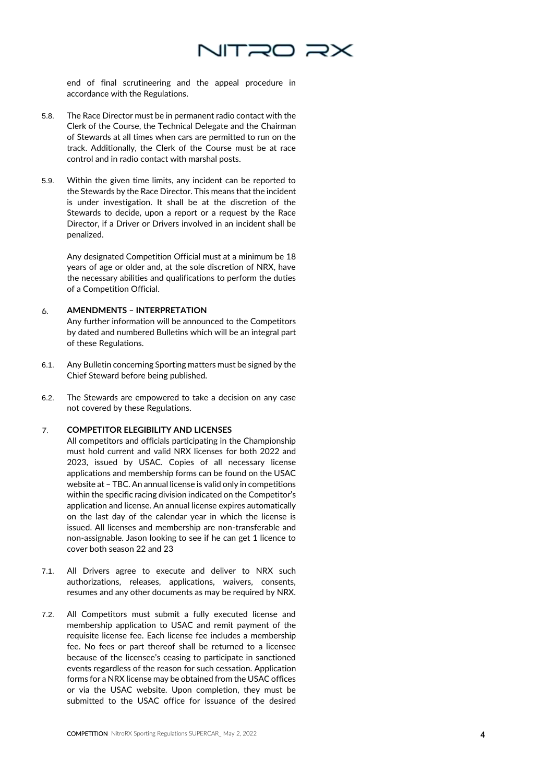

end of final scrutineering and the appeal procedure in accordance with the Regulations.

- 5.8. The Race Director must be in permanent radio contact with the Clerk of the Course, the Technical Delegate and the Chairman of Stewards at all times when cars are permitted to run on the track. Additionally, the Clerk of the Course must be at race control and in radio contact with marshal posts.
- 5.9. Within the given time limits, any incident can be reported to the Stewards by the Race Director. This means that the incident is under investigation. It shall be at the discretion of the Stewards to decide, upon a report or a request by the Race Director, if a Driver or Drivers involved in an incident shall be penalized.

Any designated Competition Official must at a minimum be 18 years of age or older and, at the sole discretion of NRX, have the necessary abilities and qualifications to perform the duties of a Competition Official .

### 6. **AMENDMENTS – INTERPRETATION**

Any further information will be announced to the Competitors by dated and numbered Bulletins which will be an integral part of these Regulations.

- 6.1. Any Bulletin concerning Sporting matters must be signed by the Chief Steward before being published.
- 6.2. The Stewards are empowered to take a decision on any case not covered by these Regulations.

#### **COMPETITOR ELEGIBILITY AND LICENSES** 7.

All competitors and officials participating in the Championship must hold current and valid NRX licenses for both 2022 and 2023, issued by USAC. Copies of all necessary license applications and membership forms can be found on the USAC website at – TBC . An annual license is valid only in competitions within the specific racing division indicated on the Competitor's application and license. An annual license expires automatically on the last day of the calendar year in which the license is issued. All licenses and membership are non -transferable and non -assignable. Jason looking to see if he can get 1 licence to cover both season 22 and 23

- 7.1. All Drivers agree to execute and deliver to NRX such authorizations, releases, applications, waivers, consents, resumes and any other documents as may be required by NRX.
- 7.2. All Competitors must submit a fully executed license and membership application to USAC and remit payment of the requisite license fee. Each license fee includes a membership fee. No fees or part thereof shall be returned to a licensee because of the licensee's ceasing to participate in sanctioned events regardless of the reason for such cessation. Application forms for a NRX license may be obtained from the USAC offices or via the USAC website. Upon completion, they must be submitted to the USAC office for issuance of the desired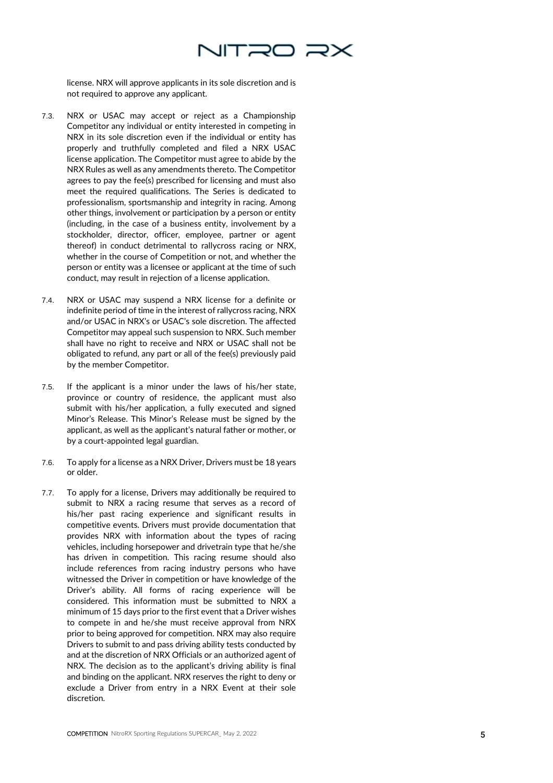

license. NRX will approve applicants in its sole discretion and is not required to approve any applicant.

- 7.3. NRX or USAC may accept or reject as a Championship Competitor any individual or entity interested in competing in NRX in its sole discretion even if the individual or entity has properly and truthfully completed and filed a NRX USAC license application. The Competitor must agree to abide by the NRX Rules as well as any amendments thereto. The Competitor agrees to pay the fee(s) prescribed for licensing and must also meet the required qualifications. The Series is dedicated to professionalism, sportsmanship and integrity in racing. Among other things, involvement or participation by a person or entity (including, in the case of a business entity, involvement by a stockholder, director, officer, employee, partner or agent thereof) in conduct detrimental to rallycross racing or NRX, whether in the course of Competition or not, and whether the person or entity was a licensee or applicant at the time of such conduct, may result in rejection of a license application.
- 7.4. NRX or USAC may suspend a NRX license for a definite or indefinite period of time in the interest of rallycross racing, NRX and/or USAC in NRX's or USAC's sole discretion. The affected Competitor may appeal such suspension to NRX. Such member shall have no right to receive and NRX or USAC shall not be obligated to refund, any part or all of the fee(s) previously paid by the member Competitor.
- 7.5. If the applicant is a minor under the laws of his/her state, province or country of residence, the applicant must also submit with his/her application, a fully executed and signed Minor's Release. This Minor's Release must be signed by the applicant, as well as the applicant's natural father or mother, or by a court -appointed legal guardian.
- 7.6. To apply for a license as a NRX Driver, Drivers must be 18 years or older.
- 7.7. To apply for a license, Drivers may additionally be required to submit to NRX a racing resume that serves as a record of his/her past racing experience and significant results in competitive events. Drivers must provide documentation that provides NRX with information about the types of racing vehicles, including horsepower and drivetrain type that he/she has driven in competition. This racing resume should also include references from racing industry persons who have witnessed the Driver in competition or have knowledge of the Driver's ability. All forms of racing experience will be considered. This information must be submitted to NRX a minimum of 15 days prior to the first event that a Driver wishes to compete in and he/she must receive approval from NRX prior to being approved for competition. NRX may also require Drivers to submit to and pass driving ability tests conducted by and at the discretion of NRX Officials or an authorized agent of NRX. The decision as to the applicant's driving ability is final and binding on the applicant. NRX reserves the right to deny or exclude a Driver from entry in a NRX Event at their sole discretion.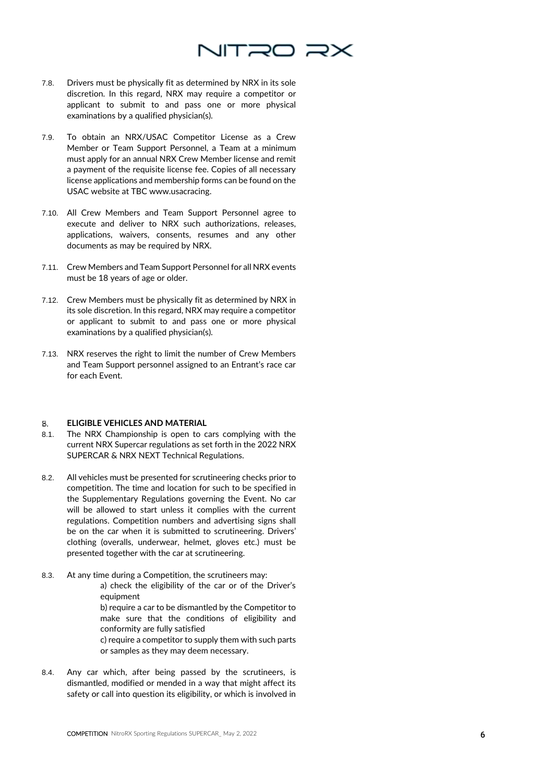

- 7.8. Drivers must be physically fit as determined by NRX in its sole discretion. In this regard, NRX may require a competitor or applicant to submit to and pass one or more physical examinations by a qualified physician(s).
- 7.9. To obtain an NRX/USAC Competitor License as a Crew Member or Team Support Personnel, a Team at a minimum must apply for an annual NRX Crew Member license and remit a payment of the requisite license fee. Copies of all necessary license applications and membership forms can be found on the USAC website at TBC www.usacracing.
- 7.10. All Crew Members and Team Support Personnel agree to execute and deliver to NRX such authorizations, releases, applications, waivers, consents, resumes and any other documents as may be required by NRX.
- 7.11. Crew Members and Team Support Personnel for all NRX events must be 18 years of age or older.
- 7.12. Crew Members must be physically fit as determined by NRX in its sole discretion. In this regard, NRX may require a competitor or applicant to submit to and pass one or more physical examinations by a qualified physician(s).
- 7.13. NRX reserves the right to limit the number of Crew Members and Team Support personnel assigned to an Entrant's race car for each Event.

### 8. **ELIGIBLE VEHICLES AND MATERIAL**

- 8.1. The NRX Championship is open to cars complying with the current NRX Supercar regulations as set forth in the 2022 NRX SUPERCAR & NRX NEXT Technical Regulations.
- 8.2. All vehicles must be presented for scrutineering checks prior to competition. The time and location for such to be specified in the Supplementary Regulations governing the Event. No car will be allowed to start unless it complies with the current regulations. Competition numbers and advertising signs shall be on the car when it is submitted to scrutineering. Drivers' clothing (overalls, underwear, helmet, gloves etc.) must be presented together with the car at scrutineering.
- 8.3. At any time during a Competition, the scrutineers may: a) check the eligibility of the car or of the Driver's equipment

b) require a car to be dismantled by the Competitor to make sure that the conditions of eligibility and conformity are fully satisfied

c) require a competitor to supply them with such parts or samples as they may deem necessary.

8.4. Any car which, after being passed by the scrutineers, is dismantled, modified or mended in a way that might affect its safety or call into question its eligibility, or which is involved in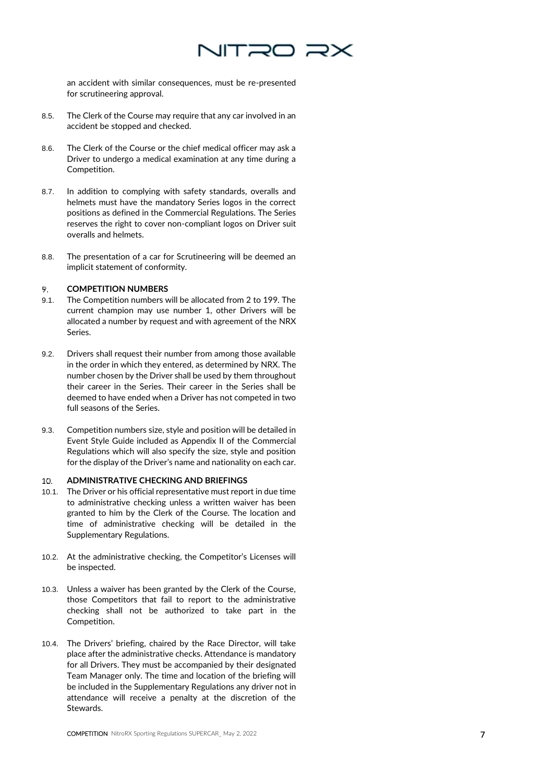

an accident with similar consequences, must be re-presented for scrutineering approval.

- 8.5. The Clerk of the Course may require that any car involved in an accident be stopped and checked.
- 8.6. The Clerk of the Course or the chief medical officer may ask a Driver to undergo a medical examination at any time during a Competition.
- 8.7. In addition to complying with safety standards, overalls and helmets must have the mandatory Series logos in the correct positions as defined in the Commercial Regulations. The Series reserves the right to cover non-compliant logos on Driver suit overalls and helmets.
- 8.8. The presentation of a car for Scrutineering will be deemed an implicit statement of conformity.

### **COMPETITION NUMBERS** 9.

- 9.1. The Competition numbers will be allocated from 2 to 199. The current champion may use number 1, other Drivers will be allocated a number by request and with agreement of the NRX Series.
- 9.2. Drivers shall request their number from among those available in the order in which they entered, as determined by NRX. The number chosen by the Driver shall be used by them throughout their career in the Series. Their career in the Series shall be deemed to have ended when a Driver has not competed in two full seasons of the Series.
- 9.3. Competition numbers size, style and position will be detailed in Event Style Guide included as Appendix II of the Commercial Regulations which will also specify the size, style and position for the display of the Driver's name and nationality on each car.

### **ADMINISTRATIVE CHECKING AND BRIEFINGS**   $10<sub>1</sub>$

- 10.1. The Driver or his official representative must report in due time to administrative checking unless a written waiver has been granted to him by the Clerk of the Course. The location and time of administrative checking will be detailed in the Supplementary Regulations.
- 10.2. At the administrative checking, the Competitor's Licenses will be inspected.
- 10.3. Unless a waiver has been granted by the Clerk of the Course, those Competitors that fail to report to the administrative checking shall not be authorized to take part in the Competition.
- 10.4. The Drivers' briefing, chaired by the Race Director, will take place after the administrative checks. Attendance is mandatory for all Drivers. They must be accompanied by their designated Team Manager only. The time and location of the briefing will be included in the Supplementary Regulations any driver not in attendance will receive a penalty at the discretion of the **Stewards**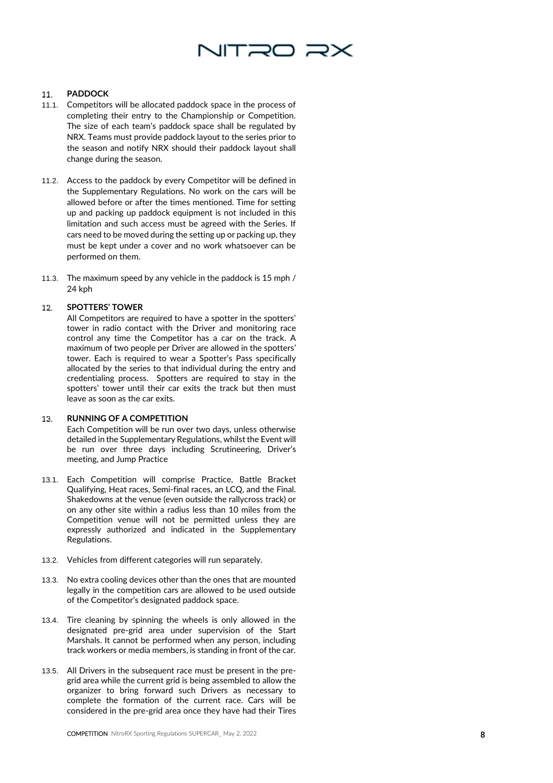# NITRO R)

### 11. **PADDOCK**

- 11.1. Competitors will be allocated paddock space in the process of completing their entry to the Championship or Competition. The size of each team's paddock space shall be regulated by NRX. Teams must provide paddock layout to the series prior to the season and notify NRX should their paddock layout shall change during the season.
- 11.2. Access to the paddock by every Competitor will be defined in the Supplementary Regulations. No work on the cars will be allowed before or after the times mentioned. Time for setting up and packing up paddock equipment is not included in this limitation and such access must be agreed with the Series. If cars need to be moved during the setting up or packing up, they must be kept under a cover and no work whatsoever can be performed on them.
- 11.3. The maximum speed by any vehicle in the paddock is 15 mph / 24 kph

### 12. **SPOTTERS ' TOWER**

All Competitors are required to have a spotter in the spotters' tower in radio contact with the Driver and monitoring race control any time the Competitor has a car on the track. A maximum of two people per Driver are allowed in the spotters ' tower. Each is required to wear a Spotter's Pass specifically allocated by the series to that individual during the entry and credentialing process. Spotters are required to stay in the spotters ' tower until their car exits the track but then must leave as soon as the car exits.

### **RUNNING OF A COMPETITION**  13.

Each Competition will be run over two days, unless otherwise detailed in the Supplementary Regulations, whilst the Event will be run over three days including Scrutineering, Driver's meeting, and Jump Practice

- 13.1. Each Competition will comprise Practice, Battle Bracket Qualifying, Heat races, Semi-final races, an LCQ, and the Final. Shakedowns at the venue (even outside the rallycross track) or on any other site within a radius less than 10 miles from the Competition venue will not be permitted unless they are expressly authorized and indicated in the Supplementary Regulations.
- 13.2. Vehicles from different categories will run separately.
- 13.3. No extra cooling devices other than the ones that are mounted legally in the competition cars are allowed to be used outside of the Competitor's designated paddock space.
- 13.4. T ire cleaning by spinning the wheels is only allowed in the designated pre -grid area under supervision of the Start Marshals. It cannot be performed when any person, including track workers or media members, is standing in front of the car.
- 13.5. All Drivers in the subsequent race must be present in the pre grid area while the current grid is being assembled to allow the organizer to bring forward such Drivers as necessary to complete the formation of the current race. Cars will be considered in the pre -grid area once they have had their T ires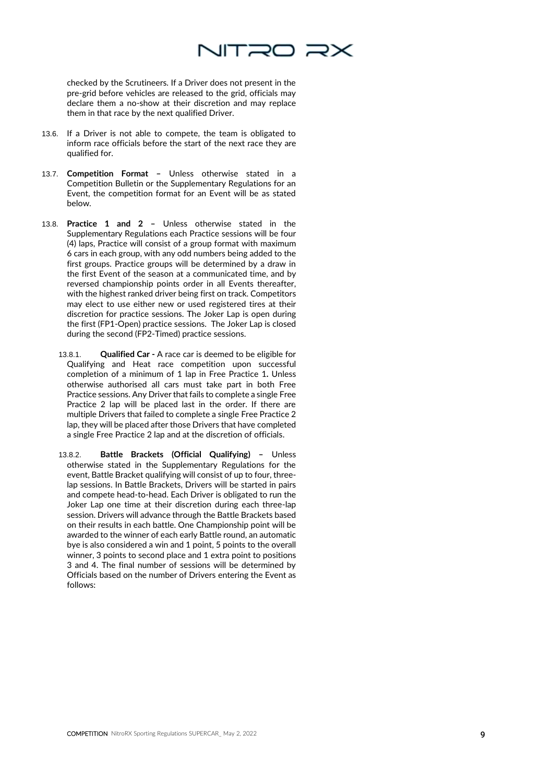

checked by the Scrutineers. If a Driver does not present in the pre-grid before vehicles are released to the grid, officials may declare them a no-show at their discretion and may replace them in that race by the next qualified Driver.

- 13.6. If a Driver is not able to compete, the team is obligated to inform race officials before the start of the next race they are qualified for.
- 13.7. **Competition Format –** Unless otherwise stated in a Competition Bulletin or the Supplementary Regulations for an Event, the competition format for an Event will be as stated below.
- 13.8. **Practice 1 and 2 –** Unless otherwise stated in the Supplementary Regulations each Practice sessions will be four (4) laps, Practice will consist of a group format with maximum 6 cars in each group, with any odd numbers being added to the first groups. Practice groups will be determined by a draw in the first Event of the season at a communicated time, and by reversed championship points order in all Events thereafter, with the highest ranked driver being first on track. Competitors may elect to use either new or used registered tires at their discretion for practice sessions. The Joker Lap is open during the first (FP1-Open) practice sessions. The Joker Lap is closed during the second (FP2-Timed) practice sessions.
	- 13.8.1. **Qualified Car -** A race car is deemed to be eligible for Qualifying and Heat race competition upon successful completion of a minimum of 1 lap in Free Practice 1**.** Unless otherwise authorised all cars must take part in both Free Practice sessions. Any Driver that fails to complete a single Free Practice 2 lap will be placed last in the order. If there are multiple Drivers that failed to complete a single Free Practice 2 lap, they will be placed after those Drivers that have completed a single Free Practice 2 lap and at the discretion of officials.
	- 13.8.2. **Battle Brackets (Official Qualifying) –** Unless otherwise stated in the Supplementary Regulations for the event, Battle Bracket qualifying will consist of up to four, threelap sessions. In Battle Brackets, Drivers will be started in pairs and compete head-to-head. Each Driver is obligated to run the Joker Lap one time at their discretion during each three-lap session. Drivers will advance through the Battle Brackets based on their results in each battle. One Championship point will be awarded to the winner of each early Battle round, an automatic bye is also considered a win and 1 point, 5 points to the overall winner, 3 points to second place and 1 extra point to positions 3 and 4. The final number of sessions will be determined by Officials based on the number of Drivers entering the Event as follows: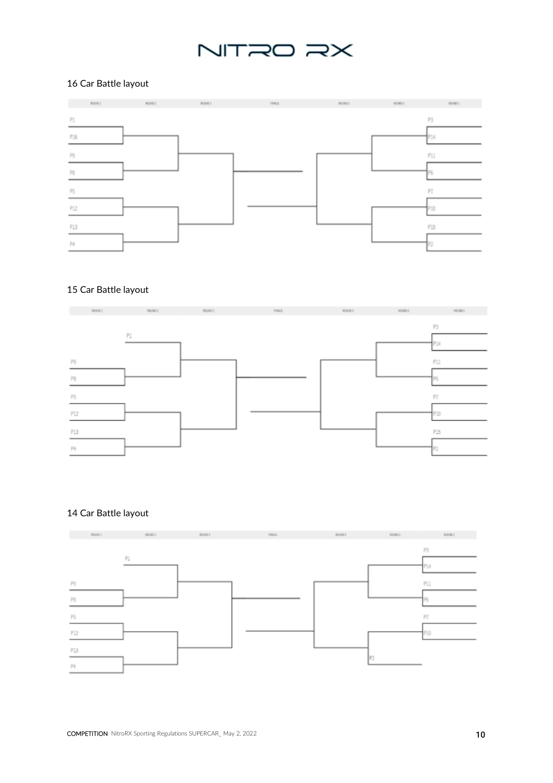# NITRO RX

### 16 Car Battle layout



## 15 Car Battle layout



### 14 Car Battle layout

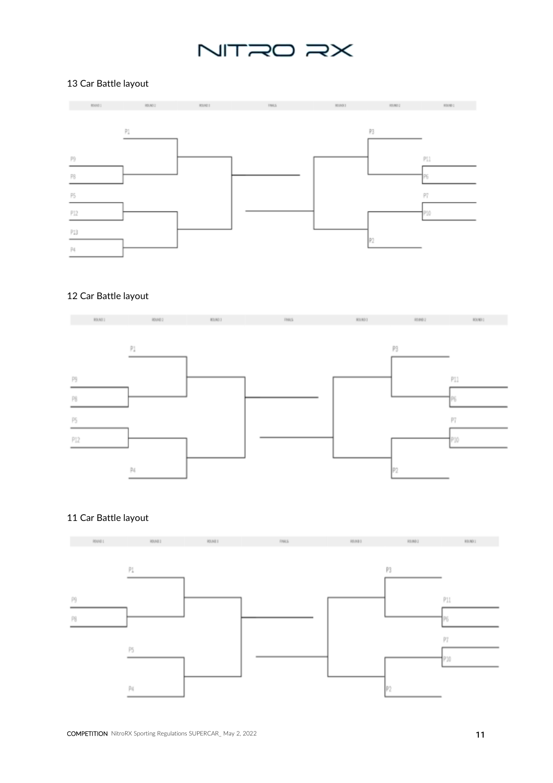# NITRO RX

## 13 Car Battle layout



## 12 Car Battle layout



## 11 Car Battle layout

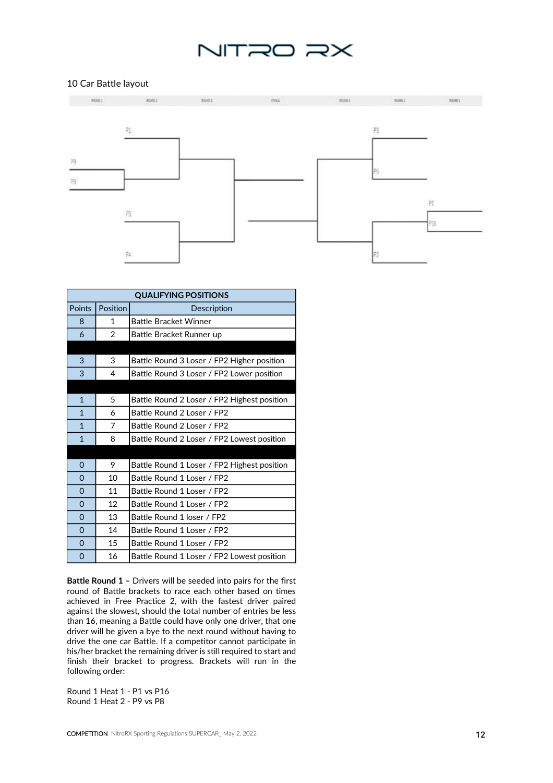## NITRO RX

### 10 Car Battle layout



| <b>QUALIFYING POSITIONS</b> |                 |                                             |
|-----------------------------|-----------------|---------------------------------------------|
| Points                      | <b>Position</b> | Description                                 |
| 8                           | 1               | <b>Battle Bracket Winner</b>                |
| 6                           | 2               | Battle Bracket Runner up                    |
|                             |                 |                                             |
| 3                           | 3               | Battle Round 3 Loser / FP2 Higher position  |
| 3                           | 4               | Battle Round 3 Loser / FP2 Lower position   |
|                             |                 |                                             |
| $\mathbf{1}$                | 5               | Battle Round 2 Loser / FP2 Highest position |
| $\mathbf{1}$                | 6               | Battle Round 2 Loser / FP2                  |
| $\mathbf{1}$                | 7               | Battle Round 2 Loser / FP2                  |
| $\mathbf{1}$                | 8               | Battle Round 2 Loser / FP2 Lowest position  |
|                             |                 |                                             |
| $\Omega$                    | 9               | Battle Round 1 Loser / FP2 Highest position |
| $\Omega$                    | 10              | Battle Round 1 Loser / FP2                  |
| $\Omega$                    | 11              | Battle Round 1 Loser / FP2                  |
| $\Omega$                    | 12              | Battle Round 1 Loser / FP2                  |
| $\Omega$                    | 13              | Battle Round 1 loser / FP2                  |
| $\Omega$                    | 14              | Battle Round 1 Loser / FP2                  |
| $\Omega$                    | 15              | Battle Round 1 Loser / FP2                  |
| $\Omega$                    | 16              | Battle Round 1 Loser / FP2 Lowest position  |

**Battle Round 1 –** Drivers will be seeded into pairs for the first round of Battle brackets to race each other based on times achieved in Free Practice 2, with the fastest driver paired against the slowest, should the total number of entries be less than 16, meaning a Battle could have only one driver, that one driver will be given a bye to the next round without having to drive the one car Battle. If a competitor cannot participate in his/her bracket the remaining driver is still required to start and finish their bracket to progress. Brackets will run in the following order:

Round 1 Heat 1 - P1 vs P16 Round 1 Heat 2 - P9 vs P8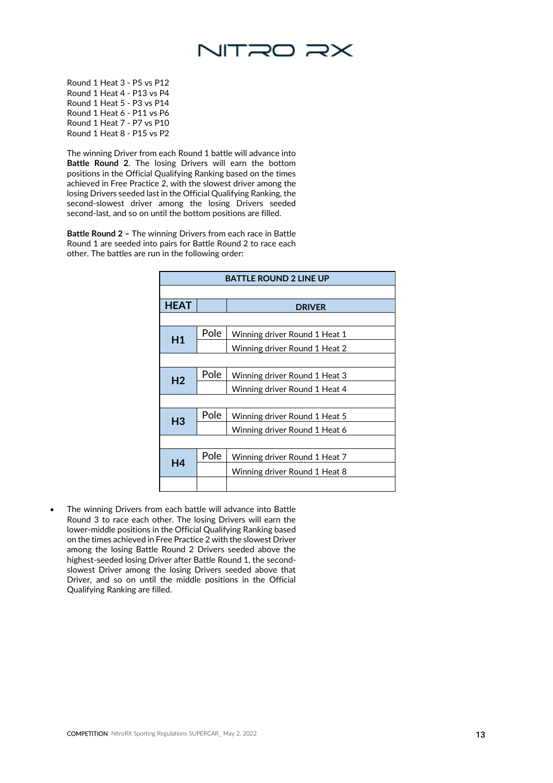

Round 1 Heat 3 - P5 vs P12 Round 1 Heat 4 - P13 vs P4 Round 1 Heat 5 - P3 vs P14 Round 1 Heat 6 - P11 vs P6 Round 1 Heat 7 - P7 vs P10 Round 1 Heat 8 - P15 vs P2

The winning Driver from each Round 1 battle will advance into **Battle Round 2**. The losing Drivers will earn the bottom positions in the Official Qualifying Ranking based on the times achieved in Free Practice 2, with the slowest driver among the losing Drivers seeded last in the Official Qualifying Ranking, the second-slowest driver among the losing Drivers seeded second-last, and so on until the bottom positions are filled.

**Battle Round 2 –** The winning Drivers from each race in Battle Round 1 are seeded into pairs for Battle Round 2 to race each other. The battles are run in the following order:

| <b>BATTLE ROUND 2 LINE UP</b> |      |                               |
|-------------------------------|------|-------------------------------|
|                               |      |                               |
| <b>HEAT</b>                   |      | <b>DRIVER</b>                 |
|                               |      |                               |
| H1                            | Pole | Winning driver Round 1 Heat 1 |
|                               |      | Winning driver Round 1 Heat 2 |
|                               |      |                               |
| H <sub>2</sub>                | Pole | Winning driver Round 1 Heat 3 |
|                               |      | Winning driver Round 1 Heat 4 |
|                               |      |                               |
| H <sub>3</sub>                | Pole | Winning driver Round 1 Heat 5 |
|                               |      | Winning driver Round 1 Heat 6 |
|                               |      |                               |
| H4                            | Pole | Winning driver Round 1 Heat 7 |
|                               |      | Winning driver Round 1 Heat 8 |
|                               |      |                               |

The winning Drivers from each battle will advance into Battle Round 3 to race each other. The losing Drivers will earn the lower-middle positions in the Official Qualifying Ranking based on the times achieved in Free Practice 2 with the slowest Driver among the losing Battle Round 2 Drivers seeded above the highest-seeded losing Driver after Battle Round 1, the secondslowest Driver among the losing Drivers seeded above that Driver, and so on until the middle positions in the Official Qualifying Ranking are filled.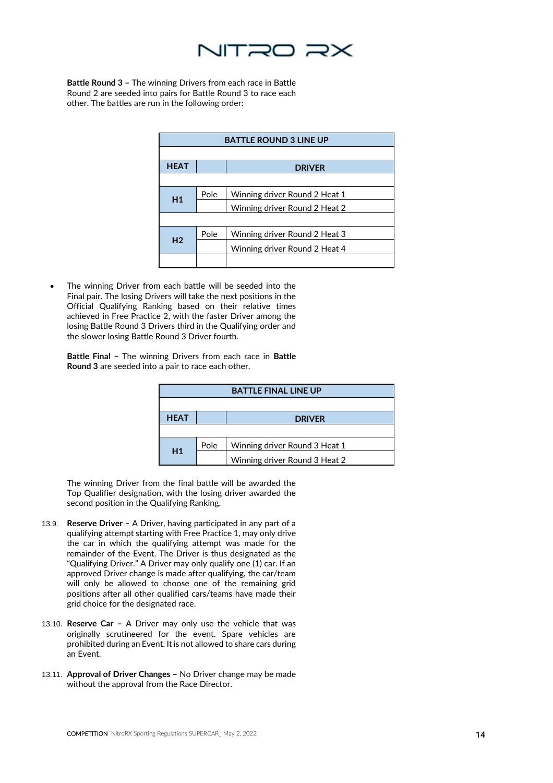

**Battle Round 3 –** The winning Drivers from each race in Battle Round 2 are seeded into pairs for Battle Round 3 to race each other. The battles are run in the following order:

| <b>BATTLE ROUND 3 LINE UP</b> |      |                               |
|-------------------------------|------|-------------------------------|
|                               |      |                               |
| <b>HEAT</b>                   |      | <b>DRIVER</b>                 |
|                               |      |                               |
| H1                            | Pole | Winning driver Round 2 Heat 1 |
|                               |      | Winning driver Round 2 Heat 2 |
|                               |      |                               |
|                               | Pole | Winning driver Round 2 Heat 3 |
| H <sub>2</sub>                |      | Winning driver Round 2 Heat 4 |
|                               |      |                               |

The winning Driver from each battle will be seeded into the Final pair. The losing Drivers will take the next positions in the Official Qualifying Ranking based on their relative times achieved in Free Practice 2, with the faster Driver among the losing Battle Round 3 Drivers third in the Qualifying order and the slower losing Battle Round 3 Driver fourth.

**Battle Final –** The winning Drivers from each race in **Battle Round 3** are seeded into a pair to race each other.

| <b>BATTLE FINAL LINE UP</b> |      |                               |
|-----------------------------|------|-------------------------------|
|                             |      |                               |
| <b>HEAT</b>                 |      | <b>DRIVER</b>                 |
|                             |      |                               |
| H1                          | Pole | Winning driver Round 3 Heat 1 |
|                             |      | Winning driver Round 3 Heat 2 |

The winning Driver from the final battle will be awarded the Top Qualifier designation, with the losing driver awarded the second position in the Qualifying Ranking.

- 13.9. **Reserve Driver –** A Driver, having participated in any part of a qualifying attempt starting with Free Practice 1, may only drive the car in which the qualifying attempt was made for the remainder of the Event. The Driver is thus designated as the "Qualifying Driver." A Driver may only qualify one (1) car. If an approved Driver change is made after qualifying, the car/team will only be allowed to choose one of the remaining grid positions after all other qualified cars/teams have made their grid choice for the designated race.
- 13.10. **Reserve Car –** A Driver may only use the vehicle that was originally scrutineered for the event. Spare vehicles are prohibited during an Event. It is not allowed to share cars during an Event.
- 13.11. **Approval of Driver Changes –** No Driver change may be made without the approval from the Race Director.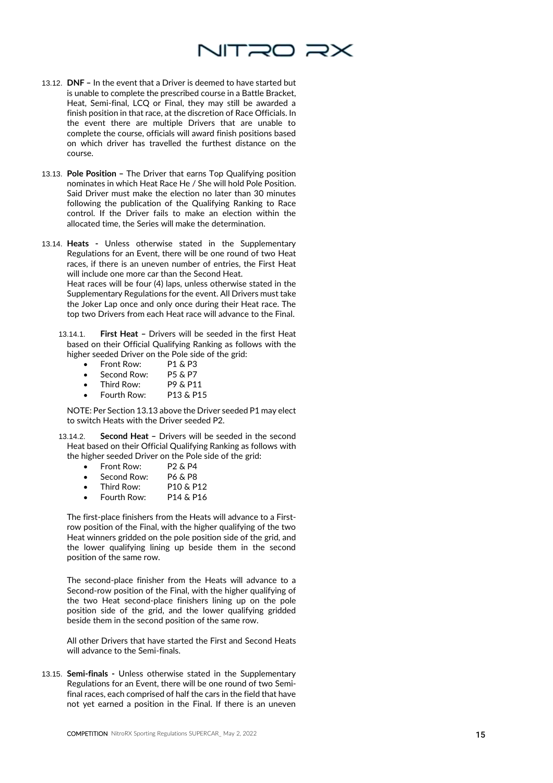

- 13.12. **DNF –** In the event that a Driver is deemed to have started but is unable to complete the prescribed course in a Battle Bracket, Heat, Semi-final, LCQ or Final, they may still be awarded a finish position in that race, at the discretion of Race Officials. In the event there are multiple Drivers that are unable to complete the course, officials will award finish positions based on which driver has travelled the furthest distance on the course.
- 13.13. **Pole Position –** The Driver that earns Top Qualifying position nominates in which Heat Race He / She will hold Pole Position. Said Driver must make the election no later than 30 minutes following the publication of the Qualifying Ranking to Race control. If the Driver fails to make an election within the allocated time, the Series will make the determination.
- 13.14. **Heats -** Unless otherwise stated in the Supplementary Regulations for an Event, there will be one round of two Heat races, if there is an uneven number of entries, the First Heat will include one more car than the Second Heat.

Heat races will be four (4) laps, unless otherwise stated in the Supplementary Regulations for the event. All Drivers must take the Joker Lap once and only once during their Heat race. The top two Drivers from each Heat race will advance to the Final.

- 13.14.1. **First Heat –** Drivers will be seeded in the first Heat based on their Official Qualifying Ranking as follows with the higher seeded Driver on the Pole side of the grid:
	-
	- Front Row: P1 & P3<br>Second Row: P5 & P7
	- Second Row: P5 & P7<br>Third Row: P9 & P11
	- Third Row:  $P9 & P11$ <br>• Fourth Row:  $P13 & P15$ Fourth Row:

NOTE: Per Section 13.13 above the Driver seeded P1 may elect to switch Heats with the Driver seeded P2.

- 13.14.2. **Second Heat –** Drivers will be seeded in the second Heat based on their Official Qualifying Ranking as follows with the higher seeded Driver on the Pole side of the grid:
	- Front Row: P2 & P4<br>• Second Row: P6 & P8 Second Row:
	-
	- Third Row:  $P10 & P12$ <br>• Fourth Row:  $P14 & P16$ Fourth Row:
	-

The first-place finishers from the Heats will advance to a Firstrow position of the Final, with the higher qualifying of the two Heat winners gridded on the pole position side of the grid, and the lower qualifying lining up beside them in the second position of the same row.

The second-place finisher from the Heats will advance to a Second-row position of the Final, with the higher qualifying of the two Heat second-place finishers lining up on the pole position side of the grid, and the lower qualifying gridded beside them in the second position of the same row.

All other Drivers that have started the First and Second Heats will advance to the Semi-finals.

13.15. **Semi-finals -** Unless otherwise stated in the Supplementary Regulations for an Event, there will be one round of two Semifinal races, each comprised of half the cars in the field that have not yet earned a position in the Final. If there is an uneven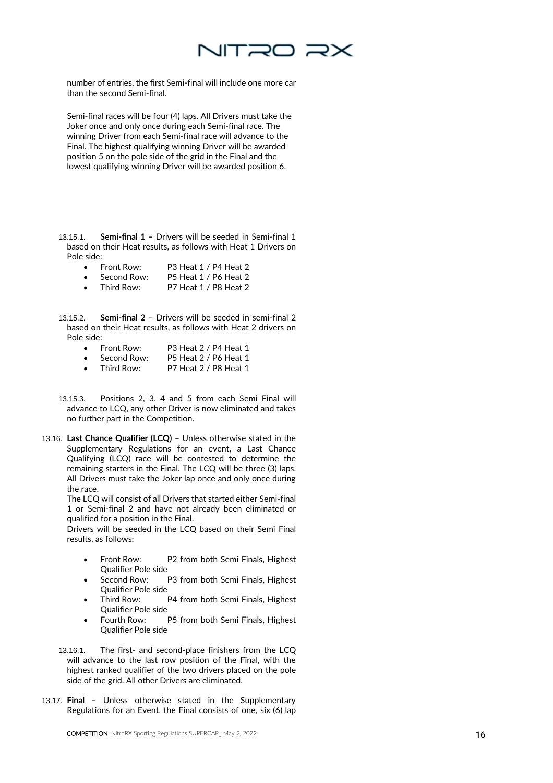

number of entries, the first Semi-final will include one more car than the second Semi-final.

Semi-final races will be four (4) laps. All Drivers must take the Joker once and only once during each Semi-final race. The winning Driver from each Semi-final race will advance to the Final. The highest qualifying winning Driver will be awarded position 5 on the pole side of the grid in the Final and the lowest qualifying winning Driver will be awarded position 6.

- 13.15.1. **Semi-final 1 –** Drivers will be seeded in Semi-final 1 based on their Heat results, as follows with Heat 1 Drivers on Pole side:
	- Front Row: P3 Heat 1 / P4 Heat 2 Second Row: P5 Heat 1 / P6 Heat 2
	- Third Row: P7 Heat 1 / P8 Heat 2
- 13.15.2. **Semi-final 2** Drivers will be seeded in semi-final 2 based on their Heat results, as follows with Heat 2 drivers on Pole side:
	- Front Row: P3 Heat 2 / P4 Heat 1
	- Second Row: P5 Heat 2 / P6 Heat 1 Third Row: P7 Heat 2 / P8 Heat 1
	-
- 13.15.3. Positions 2, 3, 4 and 5 from each Semi Final will advance to LCQ, any other Driver is now eliminated and takes no further part in the Competition.
- 13.16. **Last Chance Qualifier (LCQ)** Unless otherwise stated in the Supplementary Regulations for an event, a Last Chance Qualifying (LCQ) race will be contested to determine the remaining starters in the Final. The LCQ will be three (3) laps. All Drivers must take the Joker lap once and only once during the race.

The LCQ will consist of all Drivers that started either Semi-final 1 or Semi-final 2 and have not already been eliminated or qualified for a position in the Final.

Drivers will be seeded in the LCQ based on their Semi Final results, as follows:

- Front Row: P2 from both Semi Finals, Highest Qualifier Pole side
- Second Row: P3 from both Semi Finals, Highest Qualifier Pole side
- Third Row: P4 from both Semi Finals, Highest Qualifier Pole side
- Fourth Row: P5 from both Semi Finals, Highest Qualifier Pole side
- 13.16.1. The first- and second-place finishers from the LCQ will advance to the last row position of the Final, with the highest ranked qualifier of the two drivers placed on the pole side of the grid. All other Drivers are eliminated.
- 13.17. **Final –** Unless otherwise stated in the Supplementary Regulations for an Event, the Final consists of one, six (6) lap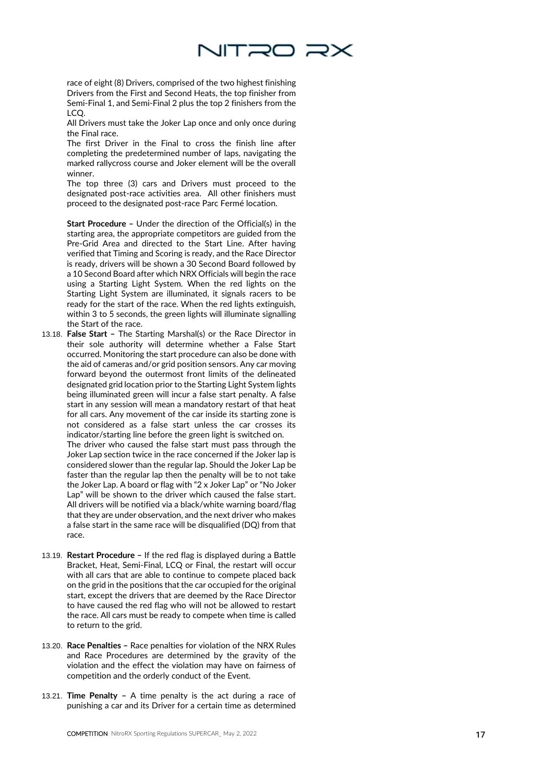

race of eight (8) Drivers, comprised of the two highest finishing Driver s from the First and Second Heat s, the top finisher from Semi -Final 1, and Semi -Final 2 plus the top 2 finishers from the LCQ .

All Drivers must take the Joker Lap once and only once during the Final race.

The first Driver in the Final to cross the finish line after completing the predetermined number of laps, navigating the marked rallycross course and Joker element will be the overall winner.

The top three (3) cars and Drivers must proceed to the designated post -race activities area. All other finishers must proceed to the designated post -race Parc Ferm é location.

**Start Procedure –** Under the direction of the Official(s) in the starting area, the appropriate competitors are guided from the Pre -Grid Area and directed to the Start Line. After having verified that Timing and Scoring is ready, and the Race Director is ready, drivers will be shown a 30 Second Board followed by a 10 Second Board after which NRX Officials will begin the race using a Starting Light System. When the red lights on the Starting Light System are illuminated, it signals racers to be ready for the start of the race. When the red lights extinguish, within 3 to 5 seconds, the green lights will illuminate signalling the Start of the race.

13.18. **False Start -** The Starting Marshal(s) or the Race Director in their sole authority will determine whether a False Start occurred. Monitoring the start procedure can also be done with the aid of cameras and/or grid position sensors . Any car moving forward beyond the outermost front limits of the delineated designated grid location prior to the Starting Light System lights being illuminated green will incur a false start penalty. A false start in any session will mean a mandatory restart of that heat for all cars. Any movement of the car inside its starting zone is not considered as a false start unless the car crosses its indicator/starting line before the green light is switched on.

The driver who caused the false start must pass through the Joker Lap section twice in the race concerned if the Joker lap is considered slower than the regular lap. Should the Joker Lap be faster than the regular lap then the penalty will be to not take the Joker Lap. A board or flag with "2 x Joker Lap" or "No Joker Lap" will be shown to the driver which caused the false start. All drivers will be notified via a black/white warning board/flag that they are under observation, and the next driver who makes a false start in the same race will be disqualified (DQ) from that race .

- 13.19. **Restart Procedure –** If the red flag is displayed during a Battle Bracket, Heat, Semi -Final, LCQ or Final, the restart will occur with all cars that are able to continue to compete placed back on the grid in the positions that the car occupied for the original start, except the driver s that are deemed by the Race Director to have caused the red flag who will not be allowed to restart the race . All cars must be ready to compete when time is called to return to the grid .
- 13.20. Race Penalties Race penalties for violation of the NRX Rules and Race Procedures are determined by the gravity of the violation and the effect the violation may have on fairness of competition and the orderly conduct of the Event.
- 13.21. **Time Penalty –** A time penalty is the act during a race of punishing a car and its Driver for a certain time as determined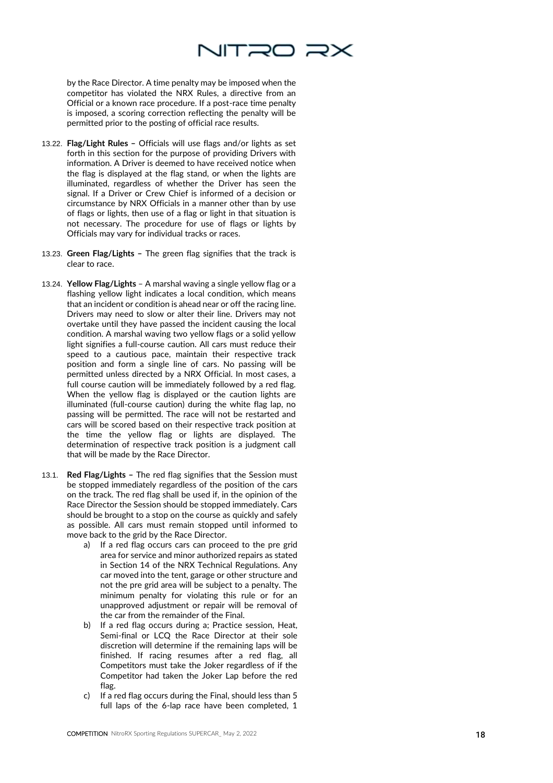

by the Race Director. A time penalty may be imposed when the competitor has violated the NRX Rules, a directive from an Official or a known race procedure. If a post -race time penalty is imposed, a scoring correction reflecting the penalty will be permitted prior to the posting of official race results.

- 13.22. **Flag/Light Rules –** Officials will use flags and/or lights as set forth in this section for the purpose of providing Drivers with information. A Driver is deemed to have received notice when the flag is displayed at the flag stand, or when the lights are illuminated, regardless of whether the Driver has seen the signal. If a Driver or Crew Chief is informed of a decision or circumstance by NRX Officials in a manner other than by use of flags or lights, then use of a flag or light in that situation is not necessary. The procedure for use of flags or lights by Officials may vary for individual tracks or races.
- 13.23. **Green Flag/Lights –** The green flag signifies that the track is clear to race.
- 13.24. **Yellow Flag/Lights**  A marshal waving a single yellow flag or a flashing yellow light indicates a local condition, which means that an incident or condition is ahead near or off the racing line. Drivers may need to slow or alter their line. Drivers may not overtake until they have passed the incident causing the local condition. A marshal waving two yellow flags or a solid yellow light signifies a full -course caution. All cars must reduce their speed to a cautious pace, maintain their respective track position and form a single line of cars. No passing will be permitted unless directed by a NRX Official. In most cases, a full course caution will be immediately followed by a red flag. When the yellow flag is displayed or the caution lights are illuminated (full -course caution) during the white flag lap, no passing will be permitted. The race will not be restarted and cars will be scored based on their respective track position at the time the yellow flag or lights are displayed. The determination of respective track position is a judgment call that will be made by the Race Director.
- 13.1. **Red Flag/Lights –** The red flag signifies that the Session must be stopped immediately regardless of the position of the cars on the track. The red flag shall be used if, in the opinion of the Race Director the Session should be stopped immediately. Cars should be brought to a stop on the course as quickly and safely as possible. All cars must remain stopped until informed to move back to the grid by the Race Director.
	- a) If a red flag occurs cars can proceed to the pre grid area for service and minor authorized repairs as stated in Section 14 of the NRX Technical Regulations. Any car moved into the tent, garage or other structure and not the pre grid area will be subject to a penalty. The minimum penalty for violating this rule or for an unapproved adjustment or repair will be removal of the car from the remainder of the Final.
	- b) If a red flag occurs during a; Practice session, Heat, Semi -final or LCQ the Race Director at their sole discretion will determine if the remaining laps will be finished. If racing resumes after a red flag, all Competitors must take the Joker regardless of if the Competitor had taken the Joker Lap before the red flag.
	- c) If a red flag occurs during the Final, should less than 5 full laps of the 6-lap race have been completed, 1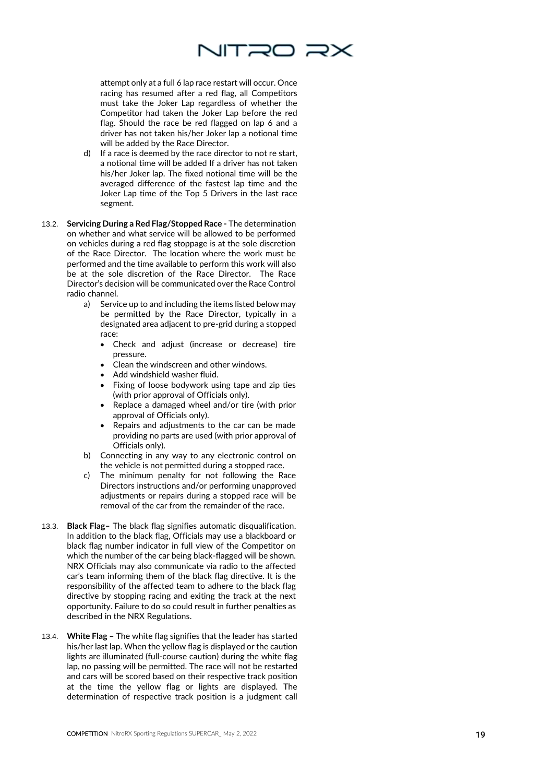

attempt only at a full 6 lap race restart will occur. Once racing has resumed after a red flag, all Competitors must take the Joker Lap regardless of whether the Competitor had taken the Joker Lap before the red flag. Should the race be red flagged on lap 6 and a driver has not taken his/her Joker lap a notional time will be added by the Race Director.

- d) If a race is deemed by the race director to not re start, a notional time will be added If a driver has not taken his/her Joker lap. The fixed notional time will be the averaged difference of the fastest lap time and the Joker Lap time of the Top 5 Drivers in the last race segment.
- 13.2. **Servicing During a Red Flag/Stopped Race -** The determination on whether and what service will be allowed to be performed on vehicles during a red flag stoppage is at the sole discretion of the Race Director. The location where the work must be performed and the time available to perform this work will also be at the sole discretion of the Race Director. The Race Director's decision will be communicated over the Race Control radio channel.
	- a) Service up to and including the items listed below may be permitted by the Race Director , typically in a designated area adjacent to pre -grid during a stopped race:
		- Check and adjust (increase or decrease) tire pressure.
		- Clean the windscreen and other windows.
		- Add windshield washer fluid.
		- Fixing of loose bodywork using tape and zip ties (with prior approval of Officials only).
		- Replace a damaged wheel and/or tire (with prior approval of Officials only).
		- Repairs and adjustments to the car can be made providing no parts are used (with prior approval of Officials only).
	- b) Connecting in any way to any electronic control on the vehicle is not permitted during a stopped race.
	- c) The minimum penalty for not following the Race Directors instructions and/or performing unapproved adjustments or repairs during a stopped race will be removal of the car from the remainder of the race.
- 13.3. **Black Flag –** The black flag signifies automatic disqualification. In addition to the black flag, Officials may use a blackboard or black flag number indicator in full view of the Competitor on which the number of the car being black -flagged will be shown. NRX Officials may also communicate via radio to the affected car's team informing them of the black flag directive. It is the responsibility of the affected team to adhere to the black flag directive by stopping racing and exiting the track at the next opportunity. Failure to do so could result in further penalties as described in the NRX Regulations .
- 13.4. **White Flag –** The white flag signifies that the leader has started his/her last lap. When the yellow flag is displayed or the caution lights are illuminated (full -course caution) during the white flag lap, no passing will be permitted. The race will not be restarted and cars will be scored based on their respective track position at the time the yellow flag or lights are displayed. The determination of respective track position is a judgment call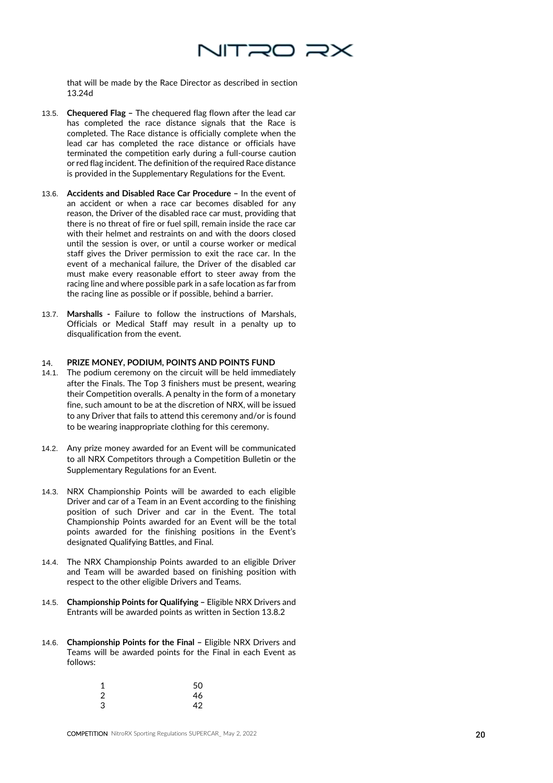

that will be made by the Race Director as described in section 13.24d

- 13.5. **Chequered Flag –** The chequered flag flown after the lead car has completed the race distance signals that the Race is completed. The Race distance is officially complete when the lead car has completed the race distance or officials have terminated the competition early during a full-course caution or red flag incident. The definition of the required Race distance is provided in the Supplementary Regulations for the Event.
- 13.6. **Accidents and Disabled Race Car Procedure –** In the event of an accident or when a race car becomes disabled for any reason, the Driver of the disabled race car must, providing that there is no threat of fire or fuel spill, remain inside the race car with their helmet and restraints on and with the doors closed until the session is over, or until a course worker or medical staff gives the Driver permission to exit the race car. In the event of a mechanical failure, the Driver of the disabled car must make every reasonable effort to steer away from the racing line and where possible park in a safe location as far from the racing line as possible or if possible, behind a barrier.
- 13.7. **Marshalls -** Failure to follow the instructions of Marshals, Officials or Medical Staff may result in a penalty up to disqualification from the event.

### **PRIZE MONEY, PODIUM, POINTS AND POINTS FUND** 14.

- 14.1. The podium ceremony on the circuit will be held immediately after the Finals. The Top 3 finishers must be present, wearing their Competition overalls. A penalty in the form of a monetary fine, such amount to be at the discretion of NRX, will be issued to any Driver that fails to attend this ceremony and/or is found to be wearing inappropriate clothing for this ceremony.
- 14.2. Any prize money awarded for an Event will be communicated to all NRX Competitors through a Competition Bulletin or the Supplementary Regulations for an Event.
- 14.3. NRX Championship Points will be awarded to each eligible Driver and car of a Team in an Event according to the finishing position of such Driver and car in the Event. The total Championship Points awarded for an Event will be the total points awarded for the finishing positions in the Event's designated Qualifying Battles, and Final.
- 14.4. The NRX Championship Points awarded to an eligible Driver and Team will be awarded based on finishing position with respect to the other eligible Drivers and Teams.
- 14.5. **Championship Points for Qualifying –** Eligible NRX Drivers and Entrants will be awarded points as written in Section 13.8.2
- 14.6. **Championship Points for the Final –** Eligible NRX Drivers and Teams will be awarded points for the Final in each Event as follows:

| 1              | 50 |
|----------------|----|
| $\overline{2}$ | 46 |
| 3              | 42 |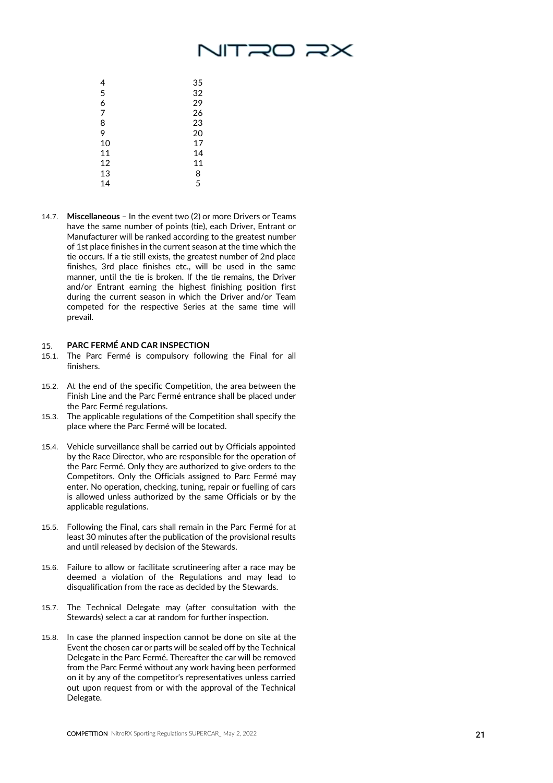# NTRO RX

| 4  | 35 |
|----|----|
| 5  | 32 |
| 6  | 29 |
| 7  | 26 |
| 8  | 23 |
| 9  | 20 |
| 10 | 17 |
| 11 | 14 |
| 12 | 11 |
| 13 | 8  |
| 14 | 5  |

14.7. **Miscellaneous** – In the event two (2) or more Drivers or Teams have the same number of points (tie), each Driver, Entrant or Manufacture r will be ranked according to the greatest number of 1st place finishes in the current season at the time which the tie occurs. If a tie still exists, the greatest number of 2nd place finishes, 3rd place finishes etc., will be used in the same manner, until the tie is broken. If the tie remains, the Driver and/or Entrant earning the highest finishing position first during the current season in which the Driver and/or Team competed for the respective Series at the same time will prevail.

### **PARC FERMÉ AND CAR INSPECTION** 15.

- 15.1. The Parc Ferm é is compulsory following the Final for all finishers .
- 15.2. At the end of the specific Competition, the area between the Finish Line and the Parc Ferm é entrance shall be placed under the Parc Ferm é regulations.
- 15.3. The applicable regulations of the Competition shall specify the place where the Parc Ferm é will be located.
- 15.4. Vehicle surveillance shall be carried out by Officials appointed by the Race Director, who are responsible for the operation of the Parc Ferm é. Only they are authorized to give orders to the Competitors. Only the Officials assigned to Parc Fermé may enter. No operation, checking, tuning , repair or fuelling of cars is allowed unless authorized by the same Officials or by the applicable regulations.
- 15.5. Following the Final, cars shall remain in the Parc Ferm é for at least 30 minutes after the publication of the provisional results and until released by decision of the Stewards.
- 15.6. Failure to allow or facilitate scrutineering after a race may be deemed a violation of the Regulations and may lead to disqualification from the race as decided by the Stewards.
- 15.7. The Technical Delegate may (after consultation with the Stewards) select a car at random for further inspection.
- 15.8. In case the planned inspection cannot be done on site at the Event the chosen car or parts will be sealed off by the Technical Delegate in the Parc Fermé. Thereafter the car will be removed from the Parc Fermé without any work having been performed on it by any of the competitor's representatives unless carried out upon request from or with the approval of the Technical Delegate.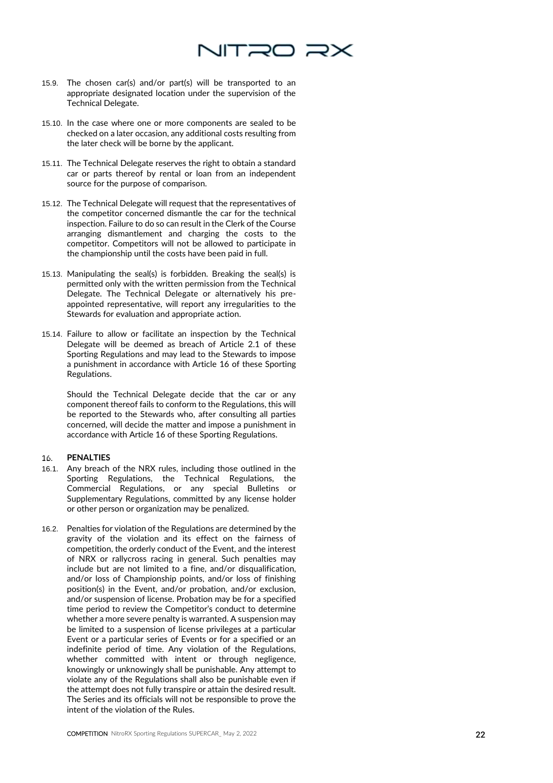

- 15.9. The chosen car(s) and/or part(s) will be transported to an appropriate designated location under the supervision of the Technical Delegate.
- 15.10. In the case where one or more components are sealed to be checked on a later occasion, any additional costs resulting from the later check will be borne by the applicant.
- 15.11. The Technical Delegate reserves the right to obtain a standard car or parts thereof by rental or loan from an independent source for the purpose of comparison.
- 15.12. The Technical Delegate will request that the representatives of the competitor concerned dismantle the car for the technical inspection. Failure to do so can result in the Clerk of the Course arranging dismantlement and charging the costs to the competitor. Competitors will not be allowed to participate in the championship until the costs have been paid in full.
- 15.13. Manipulating the seal(s) is forbidden. Breaking the seal(s) is permitted only with the written permission from the Technical Delegate. The Technical Delegate or alternatively his pre appointed representative, will report any irregularities to the Stewards for evaluation and appropriate action.
- 15.14. Failure to allow or facilitate an inspection by the Technical Delegate will be deemed as breach of Article 2.1 of these Sporting Regulations and may lead to the Stewards to impose a punishment in accordance with Article 16 of these Sporting Regulations.

Should the Technical Delegate decide that the car or any component thereof fails to conform to the Regulations, this will be reported to the Stewards who, after consulting all parties concerned, will decide the matter and impose a punishment in accordance with Article 16 of these Sporting Regulations.

### **PENALTIES**  16.

- 16.1. Any breach of the NRX rules, including those outlined in the Sporting Regulations, the Technical Regulations, the Commercial Regulations, or any special Bulletins or Supplementary Regulations, committed by any license holder or other person or organization may be penalized.
- 16.2. Penalties for violation of the Regulations are determined by the gravity of the violation and its effect on the fairness of competition, the orderly conduct of the Event, and the interest of NRX or rallycross racing in general. Such penalties may include but are not limited to a fine, and/or disqualification, and/or loss of Championship points, and/or loss of finishing position(s) in the Event, and/or probation, and/or exclusion, and/or suspension of license. Probation may be for a specified time period to review the Competitor's conduct to determine whether a more severe penalty is warranted. A suspension may be limited to a suspension of license privileges at a particular Event or a particular series of Events or for a specified or an indefinite period of time. Any violation of the Regulations, whether committed with intent or through negligence, knowingly or unknowingly shall be punishable. Any attempt to violate any of the Regulations shall also be punishable even if the attempt does not fully transpire or attain the desired result. The Series and its officials will not be responsible to prove the intent of the violation of the Rules.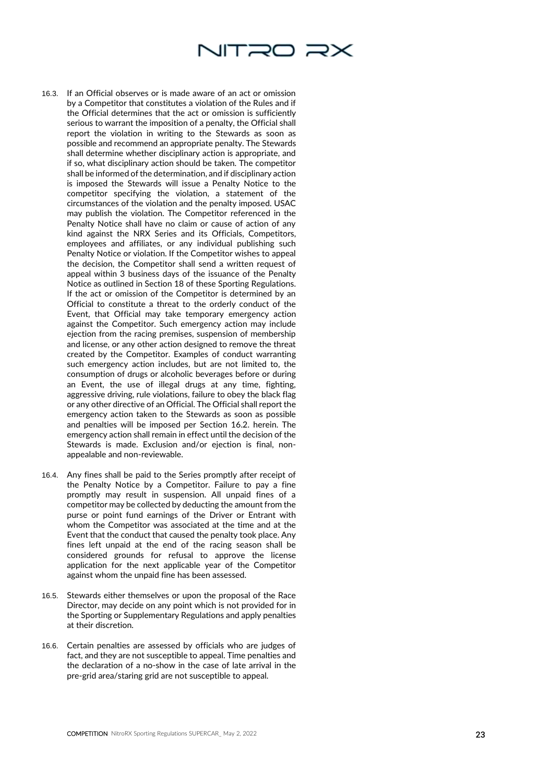

- 16.3. If an Official observes or is made aware of an act or omission by a Competitor that constitutes a violation of the Rules and if the Official determines that the act or omission is sufficiently serious to warrant the imposition of a penalty, the Official shall report the violation in writing to the Stewards as soon as possible and recommend an appropriate penalty. The Stewards shall determine whether disciplinary action is appropriate, and if so, what disciplinary action should be taken. The competitor shall be informed of the determination, and if disciplinary action<br>is imposed the Stewards will issue a Penalty Notice to the competitor specifying the violation, a statement of the circumstances of the violation and the penalty imposed. USAC may publish the violation. The Competitor referenced in the Penalty Notice shall have no claim or cause of action of any kind against the NRX Series and its Officials, Competitors, employees and affiliates, or any individual publishing such Penalty Notice or violation. If the Competitor wishes to appeal the decision, the Competitor shall send a written request of appeal within 3 business days of the issuance of the Penalty Notice as outlined in Section 18 of these Sporting Regulations. If the act or omission of the Competitor is determined by an Official to constitute a threat to the orderly conduct of the Event, that Official may take temporary emergency action against the Competitor. Such emergency action may include ejection from the racing premises, suspension of membership and license, or any other action designed to remove the threat created by the Competitor. Examples of conduct warranting such emergency action includes, but are not limited to, the consumption of drugs or alcoholic beverages before or during an Event, the use of illegal drugs at any time, fighting, aggressive driving, rule violations, failure to obey the black flag or any other directive of an Official. The Official shall report the emergency action taken to the Stewards as soon as possible and penalties will be imposed per Section 16.2. herein. The emergency action shall remain in effect until the decision of the Stewards is made. Exclusion and/or ejection is final, non appealable and non -reviewable.
- 16.4. Any fines shall be paid to the Series promptly after receipt of the Penalty Notice by a Competitor. Failure to pay a fine promptly may result in suspension. All unpaid fines of a competitor may be collected by deducting the amount from the purse or point fund earnings of the Driver or Entrant with whom the Competitor was associated at the time and at the Event that the conduct that caused the penalty took place. Any fines left unpaid at the end of the racing season shall be considered grounds for refusal to approve the license application for the next applicable year of the Competitor against whom the unpaid fine has been assessed.
- 16.5. Stewards either themselves or upon the proposal of the Race Director, may decide on any point which is not provided for in the Sporting or Supplementary Regulations and apply penalties at their discretion.
- 16.6. Certain penalties are assessed by officials who are judges of fact, and they are not susceptible to appeal. Time penalties and the declaration of a no -show in the case of late arrival in the pre -grid area/staring grid are not susceptible to appeal.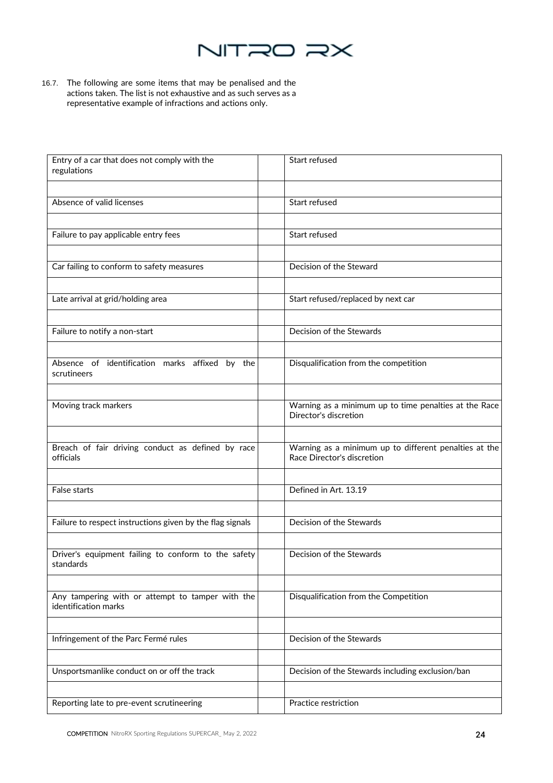

16.7. The following are some items that may be penalised and the actions taken. The list is not exhaustive and as such serves as a representative example of infractions and actions only.

| Entry of a car that does not comply with the<br>regulations              | Start refused                                                                       |
|--------------------------------------------------------------------------|-------------------------------------------------------------------------------------|
|                                                                          |                                                                                     |
| Absence of valid licenses                                                | Start refused                                                                       |
|                                                                          |                                                                                     |
| Failure to pay applicable entry fees                                     | Start refused                                                                       |
|                                                                          |                                                                                     |
| Car failing to conform to safety measures                                | Decision of the Steward                                                             |
|                                                                          |                                                                                     |
| Late arrival at grid/holding area                                        | Start refused/replaced by next car                                                  |
|                                                                          |                                                                                     |
| Failure to notify a non-start                                            | Decision of the Stewards                                                            |
|                                                                          |                                                                                     |
| Absence of identification marks affixed by the<br>scrutineers            | Disqualification from the competition                                               |
|                                                                          |                                                                                     |
| Moving track markers                                                     | Warning as a minimum up to time penalties at the Race<br>Director's discretion      |
|                                                                          |                                                                                     |
| Breach of fair driving conduct as defined by race<br>officials           | Warning as a minimum up to different penalties at the<br>Race Director's discretion |
|                                                                          |                                                                                     |
| False starts                                                             | Defined in Art. 13.19                                                               |
|                                                                          |                                                                                     |
| Failure to respect instructions given by the flag signals                | Decision of the Stewards                                                            |
|                                                                          |                                                                                     |
| Driver's equipment failing to conform to the safety<br>standards         | Decision of the Stewards                                                            |
|                                                                          |                                                                                     |
| Any tampering with or attempt to tamper with the<br>identification marks | Disqualification from the Competition                                               |
|                                                                          |                                                                                     |
| Infringement of the Parc Fermé rules                                     | Decision of the Stewards                                                            |
|                                                                          |                                                                                     |
| Unsportsmanlike conduct on or off the track                              | Decision of the Stewards including exclusion/ban                                    |
|                                                                          |                                                                                     |
| Reporting late to pre-event scrutineering                                | Practice restriction                                                                |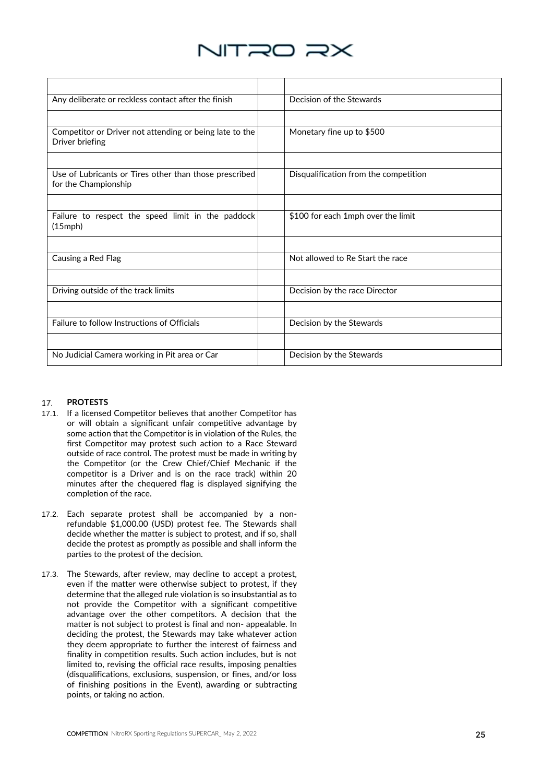

| Any deliberate or reckless contact after the finish                            | Decision of the Stewards              |
|--------------------------------------------------------------------------------|---------------------------------------|
|                                                                                |                                       |
| Competitor or Driver not attending or being late to the<br>Driver briefing     | Monetary fine up to \$500             |
|                                                                                |                                       |
| Use of Lubricants or Tires other than those prescribed<br>for the Championship | Disqualification from the competition |
|                                                                                |                                       |
| Failure to respect the speed limit in the paddock<br>$(15$ mph $)$             | \$100 for each 1mph over the limit    |
|                                                                                |                                       |
| Causing a Red Flag                                                             | Not allowed to Re Start the race      |
|                                                                                |                                       |
| Driving outside of the track limits                                            | Decision by the race Director         |
|                                                                                |                                       |
| Failure to follow Instructions of Officials                                    | Decision by the Stewards              |
|                                                                                |                                       |
| No Judicial Camera working in Pit area or Car                                  | Decision by the Stewards              |

### **PROTESTS**  17.

- 17.1. If a licensed Competitor believes that another Competitor has or will obtain a significant unfair competitive advantage by some action that the Competitor is in violation of the Rules, the first Competitor may protest such action to a Race Steward outside of race control. The protest must be made in writing by the Competitor (or the Crew Chief/Chief Mechanic if the competitor is a Driver and is on the race track) within 20 minutes after the chequered flag is displayed signifying the completion of the race.
- 17.2. Each separate protest shall be accompanied by a nonrefundable \$1,000.00 (USD) protest fee. The Stewards shall decide whether the matter is subject to protest, and if so, shall decide the protest as promptly as possible and shall inform the parties to the protest of the decision.
- 17.3. The Stewards, after review, may decline to accept a protest, even if the matter were otherwise subject to protest, if they determine that the alleged rule violation is so insubstantial as to not provide the Competitor with a significant competitive advantage over the other competitors. A decision that the matter is not subject to protest is final and non- appealable. In deciding the protest, the Stewards may take whatever action they deem appropriate to further the interest of fairness and finality in competition results. Such action includes, but is not limited to, revising the official race results, imposing penalties (disqualifications, exclusions, suspension, or fines, and/or loss of finishing positions in the Event), awarding or subtracting points, or taking no action.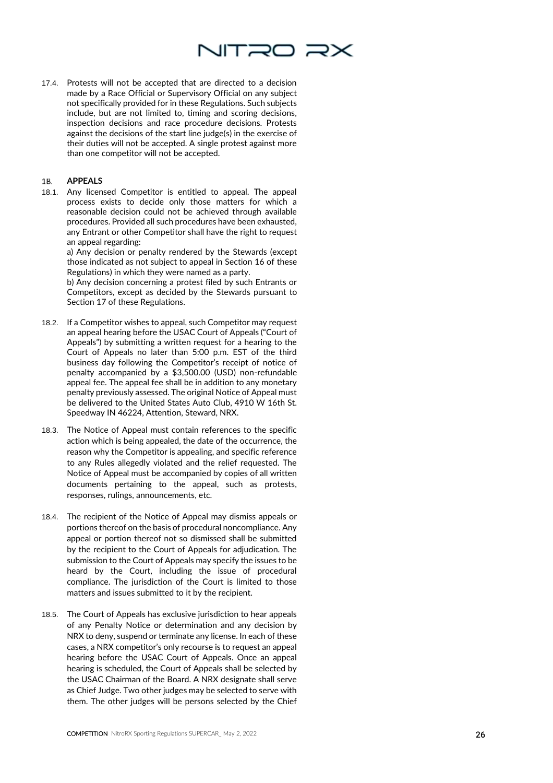

17.4. Protests will not be accepted that are directed to a decision made by a Race Official or Supervisory Official on any subject not specifically provided for in these Regulations. Such subjects include, but are not limited to, timing and scoring decisions, inspection decisions and race procedure decisions. Protests against the decisions of the start line judge(s) in the exercise of their duties will not be accepted. A single protest against more than one competitor will not be accepted.

### **APPEALS**  18.

18.1. Any licensed Competitor is entitled to appeal. The appeal process exists to decide only those matters for which a reasonable decision could not be achieved through available procedures. Provided all such procedures have been exhausted, any Entrant or other Competitor shall have the right to request an appeal regarding:

a) Any decision or penalty rendered by the Stewards (except those indicated as not subject to appeal in Section 16 of these Regulations) in which they were named as a party.

b) Any decision concerning a protest filed by such Entrants or Competitors, except as decided by the Stewards pursuant to Section 17 of these Regulations.

- 18.2. If a Competitor wishes to appeal, such Competitor may request an appeal hearing before the USAC Court of Appeals ("Court of Appeals") by submitting a written request for a hearing to the Court of Appeals no later than 5:00 p.m. EST of the third business day following the Competitor's receipt of notice of penalty accompanied by a \$3,500.00 (USD) non -refundable appeal fee. The appeal fee shall be in addition to any monetary penalty previously assessed. The original Notice of Appeal must be delivered to the United States Auto Club, 4910 W 16th St. Speedway IN 46224, Attention, Steward, NRX.
- 18.3. The Notice of Appeal must contain references to the specific action which is being appealed, the date of the occurrence, the reason why the Competitor is appealing, and specific reference to any Rules allegedly violated and the relief requested. The Notice of Appeal must be accompanied by copies of all written documents pertaining to the appeal, such as protests, responses, rulings, announcements, etc.
- 18.4. The recipient of the Notice of Appeal may dismiss appeals or portions thereof on the basis of procedural noncompliance. Any appeal or portion thereof not so dismissed shall be submitted by the recipient to the Court of Appeals for adjudication. The submission to the Court of Appeals may specify the issues to be heard by the Court, including the issue of procedural compliance. The jurisdiction of the Court is limited to those matters and issues submitted to it by the recipient.
- 18.5. The Court of Appeals has exclusive jurisdiction to hear appeals of any Penalty Notice or determination and any decision by NRX to deny, suspend or terminate any license. In each of these cases, a NRX competitor's only recourse is to request an appeal hearing before the USAC Court of Appeals. Once an appeal hearing is scheduled, the Court of Appeals shall be selected by the USAC Chairman of the Board. A NRX designate shall serve as Chief Judge. Two other judges may be selected to serve with them. The other judges will be persons selected by the Chief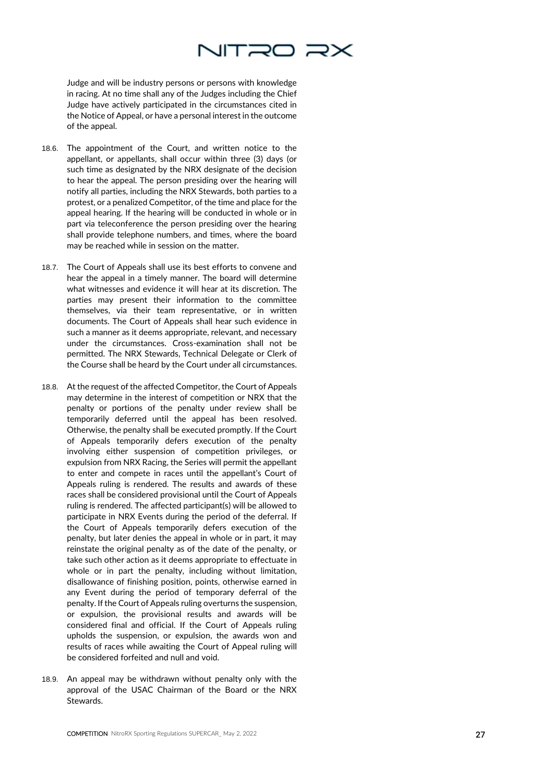

Judge and will be industry persons or persons with knowledge in racing. At no time shall any of the Judges including the Chief Judge have actively participated in the circumstances cited in the Notice of Appeal, or have a personal interest in the outcome of the appeal.

- 18.6. The appointment of the Court, and written notice to the appellant, or appellants, shall occur within three (3) days (or such time as designated by the NRX designate of the decision to hear the appeal. The person presiding over the hearing will notify all parties, including the NRX Stewards, both parties to a protest, or a penalized Competitor, of the time and place for the appeal hearing. If the hearing will be conducted in whole or in part via teleconference the person presiding over the hearing shall provide telephone numbers, and times, where the board may be reached while in session on the matter.
- 18.7. The Court of Appeals shall use its best efforts to convene and hear the appeal in a timely manner. The board will determine what witnesses and evidence it will hear at its discretion. The parties may present their information to the committee themselves, via their team representative, or in written documents. The Court of Appeals shall hear such evidence in such a manner as it deems appropriate, relevant, and necessary under the circumstances. Cross -examination shall not be permitted. The NRX Stewards, Technical Delegate or Clerk of the Course shall be heard by the Court under all circumstances.
- 18.8. At the request of the affected Competitor, the Court of Appeals may determine in the interest of competition or NRX that the penalty or portions of the penalty under review shall be temporarily deferred until the appeal has been resolved. Otherwise, the penalty shall be executed promptly. If the Court of Appeals temporarily defers execution of the penalty involving either suspension of competition privileges, or expulsion from NRX Racing, the Series will permit the appellant to enter and compete in races until the appellant's Court of Appeals ruling is rendered. The results and awards of these races shall be considered provisional until the Court of Appeals ruling is rendered. The affected participant(s) will be allowed to participate in NRX Events during the period of the deferral. If the Court of Appeals temporarily defers execution of the penalty, but later denies the appeal in whole or in part, it may reinstate the original penalty as of the date of the penalty, or take such other action as it deems appropriate to effectuate in whole or in part the penalty, including without limitation, disallowance of finishing position, points, otherwise earned in any Event during the period of temporary deferral of the penalty. If the Court of Appeals ruling overturns the suspension, or expulsion, the provisional results and awards will be considered final and official. If the Court of Appeals ruling upholds the suspension, or expulsion, the awards won and results of races while awaiting the Court of Appeal ruling will be considered forfeited and null and void.
- 18.9. An appeal may be withdrawn without penalty only with the approval of the USAC Chairman of the Board or the NRX Stewards.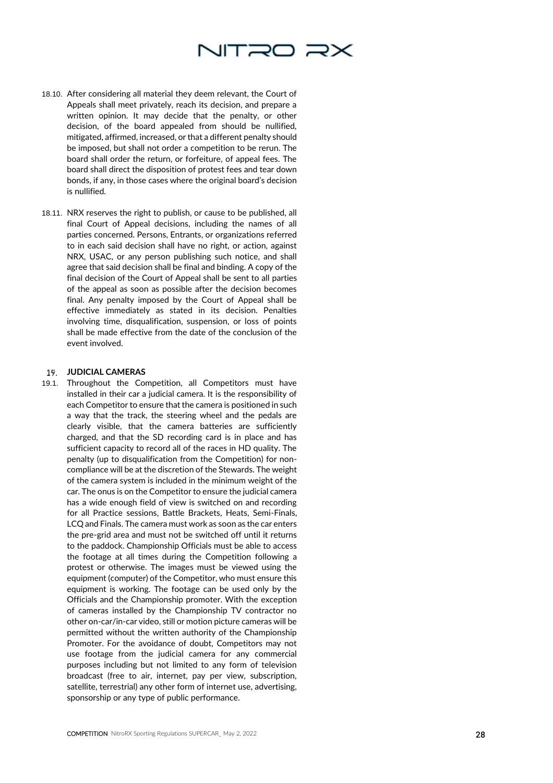

- 18.10. After considering all material they deem relevant, the Court of Appeals shall meet privately, reach its decision, and prepare a written opinion. It may decide that the penalty, or other decision, of the board appealed from should be nullified, mitigated, affirmed, increased, or that a different penalty should be imposed, but shall not order a competition to be rerun. The board shall order the return, or forfeiture, of appeal fees. The board shall direct the disposition of protest fees and tear down bonds, if any, in those cases where the original board's decision is nullified.
- 18.11. NRX reserves the right to publish, or cause to be published, all final Court of Appeal decisions, including the names of all parties concerned. Persons, Entrants, or organizations referred to in each said decision shall have no right, or action, against NRX, USAC, or any person publishing such notice, and shall agree that said decision shall be final and binding. A copy of the final decision of the Court of Appeal shall be sent to all parties of the appeal as soon as possible after the decision becomes final. Any penalty imposed by the Court of Appeal shall be effective immediately as stated in its decision. Penalties involving time, disqualification, suspension, or loss of points shall be made effective from the date of the conclusion of the event involved.

### **JUDICIAL CAMERAS**

19.1. Throughout the Competition, all Competitors must have installed in their car a judicial camera. It is the responsibility of each Competitor to ensure that the camera is positioned in such a way that the track, the steering wheel and the pedals are clearly visible, that the camera batteries are sufficiently charged, and that the SD recording card is in place and has sufficient capacity to record all of the races in HD quality. The penalty (up to disqualification from the Competition) for non compliance will be at the discretion of the Stewards. The weight of the camera system is included in the minimum weight of the car. The onus is on the Competitor to ensure the judicial camera has a wide enough field of view is switched on and recording for all Practice sessions, Battle Brackets, Heats, Semi -Finals, LCQ and Finals. The camera must work as soon as the car enters the pre -grid area and must not be switched off until it returns to the paddock. Championship Officials must be able to access the footage at all times during the Competition following a protest or otherwise. The images must be viewed using the equipment (computer) of the Competitor, who must ensure this equipment is working. The footage can be used only by the Officials and the Championship promoter. With the exception of cameras installed by the Championship TV contractor no other on -car/in -car video, still or motion picture cameras will be permitted without the written authority of the Championship Promoter. For the avoidance of doubt, Competitors may not use footage from the judicial camera for any commercial purposes including but not limited to any form of television broadcast (free to air, internet, pay per view, subscription, satellite, terrestrial) any other form of internet use, advertising, sponsorship or any type of public performance.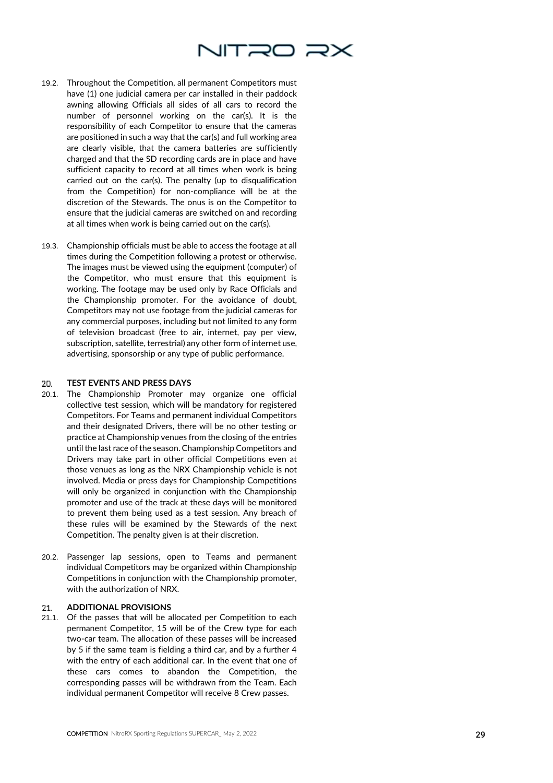

- 19.2. Throughout the Competition, all permanent Competitors must have (1) one judicial camera per car installed in their paddock awning allowing Officials all sides of all car s to record the number of personnel working on the car(s). It is the responsibility of each Competitor to ensure that the cameras are positioned in such a way that the car(s) and full working area are clearly visible, that the camera batteries are sufficiently charged and that the SD recording cards are in place and have sufficient capacity to record at all times when work is being carried out on the car(s). The penalty (up to disqualification from the Competition) for non -compliance will be at the discretion of the Stewards. The onus is on the Competitor to ensure that the judicial cameras are switched on and recording at all times when work is being carried out on the car(s).
- 19.3. Championship officials must be able to access the footage at all times during the Competition following a protest or otherwise. The images must be viewed using the equipment (computer) of the Competitor, who must ensure that this equipment is working. The footage may be used only by Race Officials and the Championship promoter. For the avoidance of doubt, Competitors may not use footage from the judicial cameras for any commercial purposes, including but not limited to any form of television broadcast (free to air, internet, pay per view, subscription, satellite, terrestrial) any other form of internet use, advertising, sponsorship or any type of public performance.

#### 20. **TEST EVENTS AND PRESS DAYS**

- 20.1. The Championship Promoter may organize one official collective test session, which will be mandatory for registered Competitors. For Teams and permanent individual Competitors and their designated Drivers, there will be no other testing or practice at Championship venues from the closing of the entries until the last race of the season. Championship Competitors and Drivers may take part in other official Competitions even at those venues as long as the NRX Championship vehicle is not involved. Media or press days for Championship Competitions will only be organized in conjunction with the Championship promoter and use of the track at these days will be monitored to prevent them being used as a test session. Any breach of these rules will be examined by the Stewards of the next Competition. The penalty given is at their discretion.
- 20.2. Passenger lap sessions, open to Teams and permanent individual Competitors may be organized within Championship Competitions in conjunction with the Championship promoter, with the authorization of NRX.

### **ADDITIONAL PROVISIONS**  21.

21.1. Of the passes that will be allocated per Competition to each permanent Competitor, 15 will be of the Crew type for each two -car team. The allocation of these passes will be increased by 5 if the same team is fielding a third car, and by a further 4 with the entry of each additional car. In the event that one of these cars comes to abandon the Competition, the corresponding passes will be withdrawn from the Team. Each individual permanent Competitor will receive 8 Crew passes.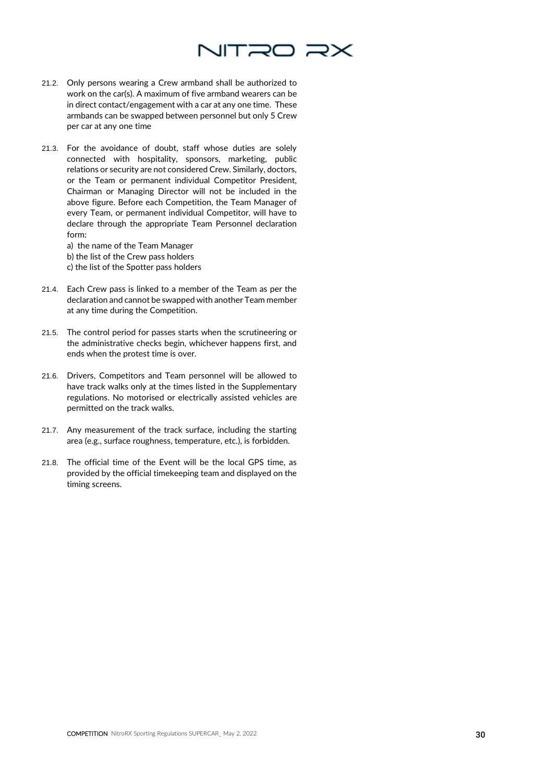

- 21.2. Only persons wearing a Crew armband shall be authorized to work on the car(s). A maximum of five armband wearers can be in direct contact/engagement with a car at any one time. These armbands can be swapped between personnel but only 5 Crew per car at any one time
- 21.3. For the avoidance of doubt, staff whose duties are solely connected with hospitality, sponsors, marketing, public relations or security are not considered Crew. Similarly, doctors, or the Team or permanent individual Competitor President, Chairman or Managing Director will not be included in the above figure. Before each Competition, the Team Manager of every Team, or permanent individual Competitor, will have to declare through the appropriate Team Personnel declaration form:

a) the name of the Team Manager b) the list of the Crew pass holders c) the list of the Spotter pass holders

- 21.4. Each Crew pass is linked to a member of the Team as per the declaration and cannot be swapped with another Team member at any time during the Competition.
- 21.5. The control period for passes starts when the scrutineering or the administrative checks begin, whichever happens first, and ends when the protest time is over.
- 21.6. Drivers, Competitors and Team personnel will be allowed to have track walks only at the times listed in the Supplementary regulations. No motorised or electrically assisted vehicles are permitted on the track walks.
- 21.7. Any measurement of the track surface, including the starting area (e.g., surface roughness, temperature, etc.), is forbidden.
- 21.8. The official time of the Event will be the local GPS time, as provided by the official timekeeping team and displayed on the timing screens.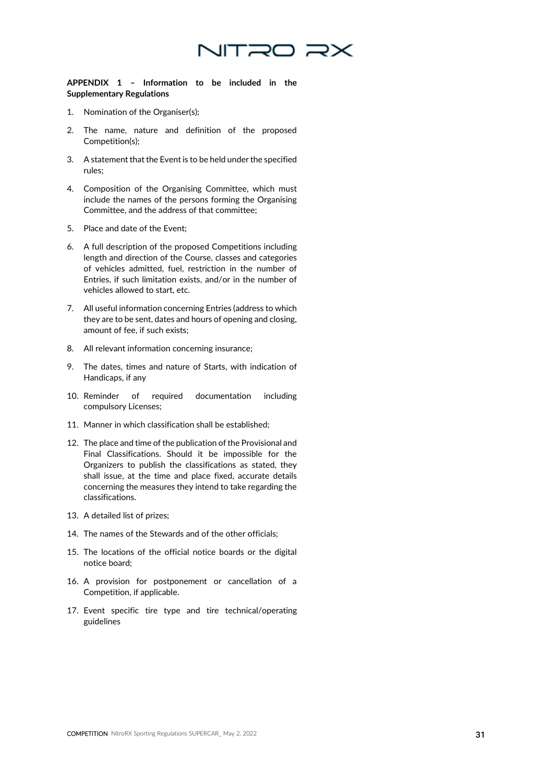

**APPENDIX 1 – Information to be included in the Supplementary Regulations**

- 1. Nomination of the Organiser(s);
- 2. The name, nature and definition of the proposed Competition(s);
- 3. A statement that the Event is to be held under the specified rules;
- 4. Composition of the Organising Committee, which must include the names of the persons forming the Organising Committee, and the address of that committee;
- 5. Place and date of the Event;
- 6. A full description of the proposed Competitions including length and direction of the Course, classes and categories of vehicles admitted, fuel, restriction in the number of Entries, if such limitation exists, and/or in the number of vehicles allowed to start, etc.
- 7. All useful information concerning Entries (address to which they are to be sent, dates and hours of opening and closing, amount of fee, if such exists;
- 8. All relevant information concerning insurance;
- 9. The dates, times and nature of Starts, with indication of Handicaps, if any
- 10. Reminder of required documentation including compulsory Licenses;
- 11. Manner in which classification shall be established;
- 12. The place and time of the publication of the Provisional and Final Classifications. Should it be impossible for the Organizers to publish the classifications as stated, they shall issue, at the time and place fixed, accurate details concerning the measures they intend to take regarding the classifications.
- 13. A detailed list of prizes;
- 14. The names of the Stewards and of the other officials;
- 15. The locations of the official notice boards or the digital notice board;
- 16. A provision for postponement or cancellation of a Competition, if applicable.
- 17. Event specific tire type and tire technical/operating guidelines